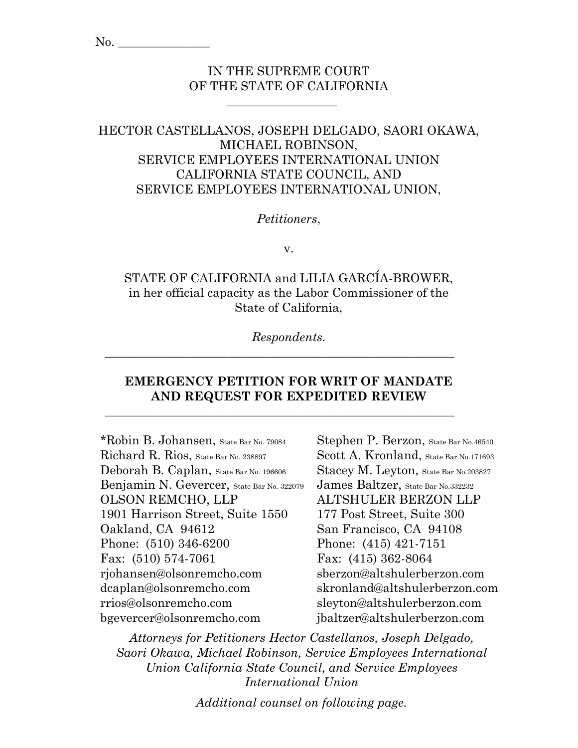# IN THE SUPREME COURT OF THE STATE OF CALIFORNIA

 $\overline{\phantom{a}}$  , which is a set of the set of the set of the set of the set of the set of the set of the set of the set of the set of the set of the set of the set of the set of the set of the set of the set of the set of th

# HECTOR CASTELLANOS, JOSEPH DELGADO, SAORI OKAWA, MICHAEL ROBINSON, SERVICE EMPLOYEES INTERNATIONAL UNION CALIFORNIA STATE COUNCIL, AND SERVICE EMPLOYEES INTERNATIONAL UNION,

### *Petitioners*,

v.

# STATE OF CALIFORNIA and LILIA GARCÍA-BROWER, in her official capacity as the Labor Commissioner of the State of California,

*Respondents.*

 $\_$  , and the set of the set of the set of the set of the set of the set of the set of the set of the set of the set of the set of the set of the set of the set of the set of the set of the set of the set of the set of th

\_\_\_\_\_\_\_\_\_\_\_\_\_\_\_\_\_\_\_\_\_\_\_\_\_\_\_\_\_\_\_\_\_\_\_\_\_\_\_\_\_\_\_\_\_\_\_\_\_\_\_\_\_\_\_\_\_

# **EMERGENCY PETITION FOR WRIT OF MANDATE AND REQUEST FOR EXPEDITED REVIEW**

\*Robin B. Johansen, State Bar No. 79084 Richard R. Rios, State Bar No. 238897 Deborah B. Caplan, State Bar No. 196606 Benjamin N. Gevercer, State Bar No. 322079 OLSON REMCHO, LLP 1901 Harrison Street, Suite 1550 Oakland, CA 94612 Phone: (510) 346-6200 Fax: (510) 574-7061 rjohansen@olsonremcho.com dcaplan@olsonremcho.com rrios@olsonremcho.com bgevercer@olsonremcho.com

Stephen P. Berzon, State Bar No.46540 Scott A. Kronland, State Bar No.171693 Stacey M. Leyton, State Bar No. 203827 James Baltzer, State Bar No.332232 ALTSHULER BERZON LLP 177 Post Street, Suite 300 San Francisco, CA 94108 Phone: (415) 421-7151 Fax: (415) 362-8064 sberzon@altshulerberzon.com skronland@altshulerberzon.com sleyton@altshulerberzon.com jbaltzer@altshulerberzon.com

*Attorneys for Petitioners Hector Castellanos, Joseph Delgado, Saori Okawa, Michael Robinson, Service Employees International Union California State Council, and Service Employees International Union*

*Additional counsel on following page.*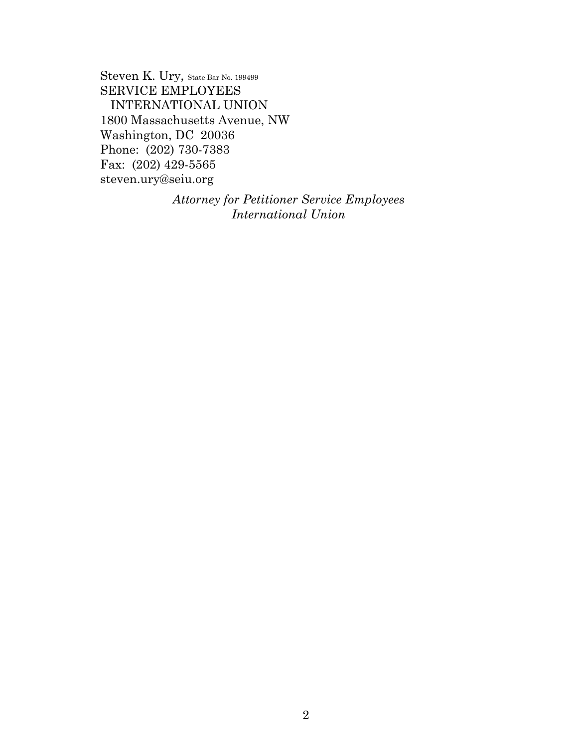Steven K. Ury, State Bar No. 199499 SERVICE EMPLOYEES INTERNATIONAL UNION 1800 Massachusetts Avenue, NW Washington, DC 20036 Phone: (202) 730-7383 Fax: (202) 429-5565 steven.ury@seiu.org

> *Attorney for Petitioner Service Employees International Union*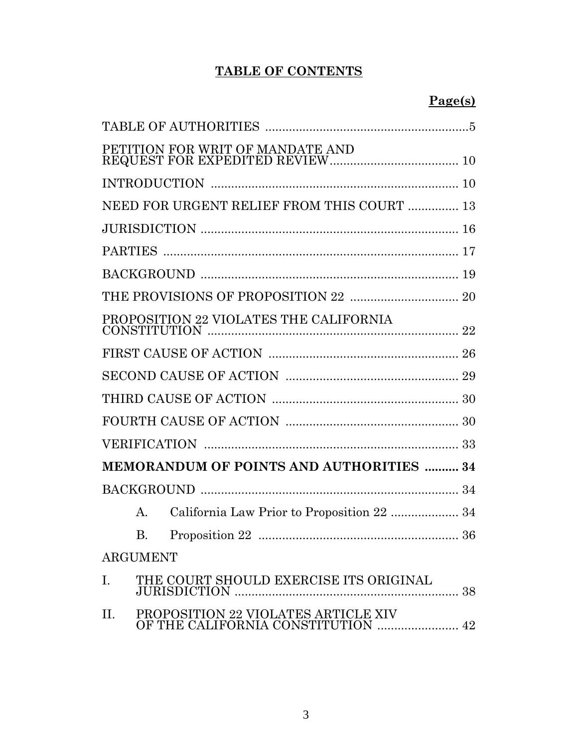# **TABLE OF CONTENTS**

|           |                 | PETITION FOR WRIT OF MANDATE AND                                          |    |
|-----------|-----------------|---------------------------------------------------------------------------|----|
|           |                 |                                                                           |    |
|           |                 | NEED FOR URGENT RELIEF FROM THIS COURT  13                                |    |
|           |                 |                                                                           |    |
|           |                 |                                                                           |    |
|           |                 |                                                                           |    |
|           |                 |                                                                           |    |
|           |                 | PROPOSITION 22 VIOLATES THE CALIFORNIA                                    |    |
|           |                 |                                                                           |    |
|           |                 |                                                                           |    |
|           |                 |                                                                           |    |
|           |                 |                                                                           |    |
|           |                 |                                                                           |    |
|           |                 | <b>MEMORANDUM OF POINTS AND AUTHORITIES  34</b>                           |    |
|           |                 |                                                                           |    |
|           | A.              | California Law Prior to Proposition 22  34                                |    |
|           | <b>B.</b>       |                                                                           |    |
|           | <b>ARGUMENT</b> |                                                                           |    |
| Ι.        |                 | THE COURT SHOULD EXERCISE ITS ORIGINAL                                    | 38 |
| $\prod$ . |                 | PROPOSITION 22 VIOLATES ARTICLE XIV<br>OF THE CALIFORNIA CONSTITUTION  42 |    |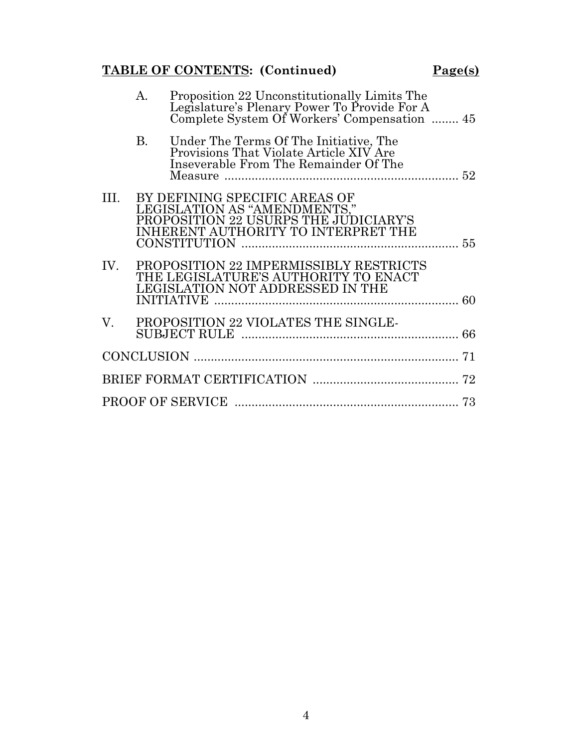# **TABLE OF CONTENTS:** (Continued) Page(s)

|     | А.        | Proposition 22 Unconstitutionally Limits The<br>Legislature's Plenary Power To Provide For A<br>Complete System Of Workers' Compensation  45  |    |
|-----|-----------|-----------------------------------------------------------------------------------------------------------------------------------------------|----|
|     | <b>B.</b> | Under The Terms Of The Initiative, The<br>Provisions That Violate Article XIV Are<br>Inseverable From The Remainder Of The                    |    |
| Ш.  |           | BY DEFINING SPECIFIC AREAS OF<br>LEGISLATION AS "AMENDMENTS,"<br>PROPOSITION 22 USURPS THE JUDICIARY'S<br>INHERENT AUTHORITY TO INTERPRET THE |    |
| IV. |           | PROPOSITION 22 IMPERMISSIBLY RESTRICTS<br>THE LEGISLATURE'S AUTHORITY TO ENACT<br><b>LEGISLATION NOT ADDRESSED IN THE</b>                     |    |
|     |           | V. PROPOSITION 22 VIOLATES THE SINGLE-                                                                                                        |    |
|     |           |                                                                                                                                               | 71 |
|     |           |                                                                                                                                               |    |
|     |           |                                                                                                                                               |    |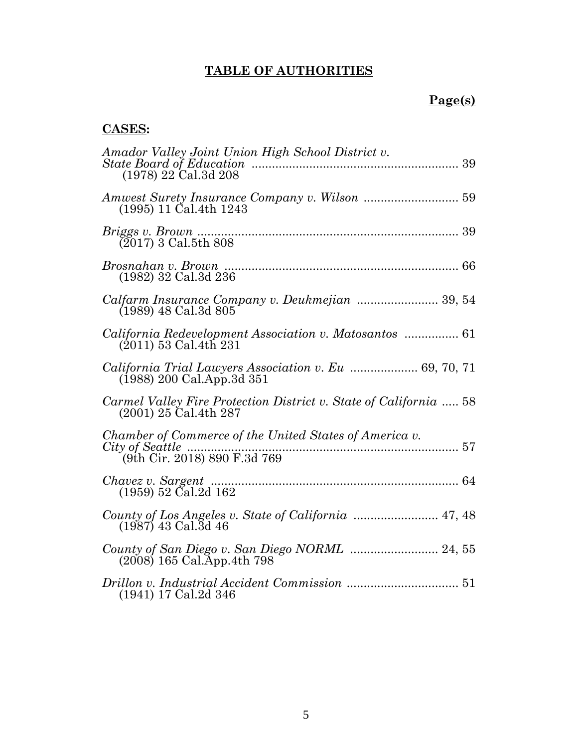# **TABLE OF AUTHORITIES**

# **Page(s)**

# **CASES:**

| Amador Valley Joint Union High School District v.<br>$(1978)$ 22 Cal.3d 208                   |  |
|-----------------------------------------------------------------------------------------------|--|
| $(1995)$ 11 Cal.4th 1243                                                                      |  |
| $(2017)$ 3 Cal.5th 808                                                                        |  |
| (1982) 32 Cal.3d 236                                                                          |  |
| (1989) 48 Cal.3d 805                                                                          |  |
| California Redevelopment Association v. Matosantos  61<br>$(2011)$ 53 Cal. 4th 231            |  |
| <i>California Trial Lawyers Association v. Eu </i> 69, 70, 71<br>$(1988)$ 200 Cal.App.3d 351  |  |
| Carmel Valley Fire Protection District v. State of California  58<br>$(2001)$ 25 Cal. 4th 287 |  |
| Chamber of Commerce of the United States of America v.                                        |  |
| $(1959)$ 52 Cal.2d 162                                                                        |  |
| County of Los Angeles v. State of California  47, 48<br>$(1987)$ 43 Cal. 3d 46                |  |
| $(2008)$ 165 Cal. App. 4th 798                                                                |  |
| $(1941)$ 17 Cal.2d 346                                                                        |  |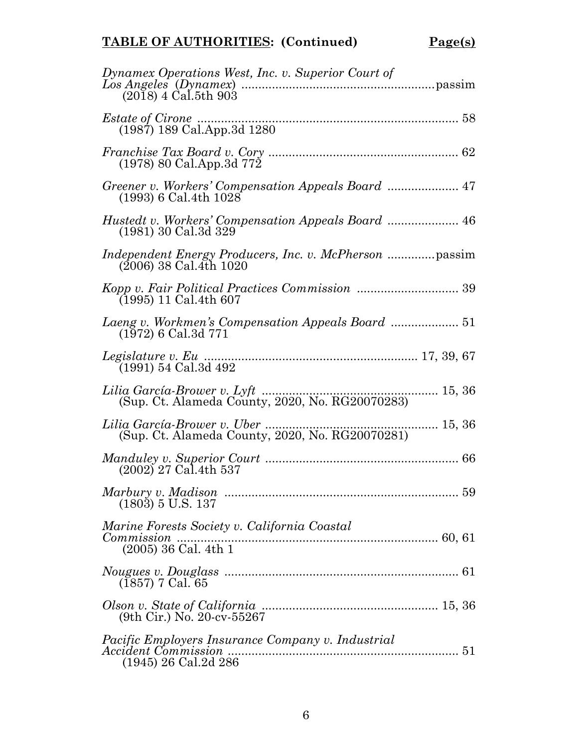# **TABLE OF AUTHORITIES: (Continued) Page(s)**

| Dynamex Operations West, Inc. v. Superior Court of<br>$(2018)$ 4 Cal.5th 903             |
|------------------------------------------------------------------------------------------|
| (1987) 189 Cal.App.3d 1280                                                               |
| $(1978)$ 80 Cal.App.3d 772                                                               |
| $(1993)$ 6 Cal.4th $1028$                                                                |
| (1981) 30 Cal.3d 329                                                                     |
| $(2006)$ 38 Cal.4th 1020                                                                 |
| $(1995)$ 11 Cal.4th 607                                                                  |
| $(1972)$ 6 Cal.3d 771                                                                    |
| (1991) 54 Cal.3d 492                                                                     |
| Lilia García-Brower v. Lyft<br>15, 36<br>(Sup. Ct. Alameda County, 2020, No. RG20070283) |
| (Sup. Ct. Alameda County, 2020, No. RG20070281)                                          |
| $(2002)$ <sup>27</sup> Cal.4th 537                                                       |
| $(1803)$ 5 U.S. 137                                                                      |
| Marine Forests Society v. California Coastal<br>Commission<br>$(2005)$ 36 Cal. 4th 1     |
| $(1857)$ 7 Cal. 65                                                                       |
| $(9th$ Cir.) No. 20-cv-55267                                                             |
| Pacific Employers Insurance Company v. Industrial<br>$(1945)$ 26 Cal.2d 286              |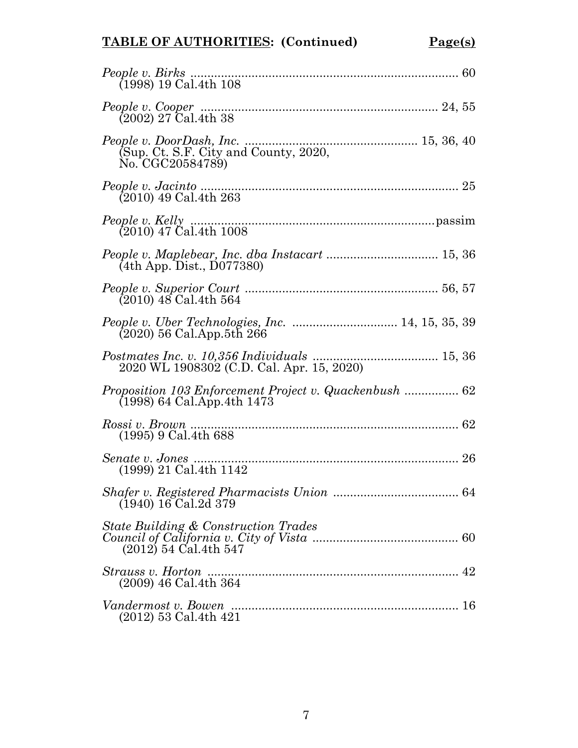# **TABLE OF AUTHORITIES: (Continued) Page(s)**

| People v. Birks<br>(1998) 19 Cal.4th 108                                    |
|-----------------------------------------------------------------------------|
|                                                                             |
| (Sup. Ct. S.F. City and County, 2020,<br>No. CGC20584789)                   |
| $(2010)$ 49 Cal.4th 263                                                     |
| (2010) 47 Cal.4th 1008                                                      |
| (4th App. Dist., D077380)                                                   |
| $(2010)$ 48 Cal. 4th 564                                                    |
| $(2020)$ 56 Cal. App. 5th 266                                               |
| 2020 WL 1908302 (C.D. Cal. Apr. 15, 2020)                                   |
| $(1998)$ 64 Cal. App. 4th 1473                                              |
| Rossi v. Brown<br>$(1995)$ 9 Cal. 4th 688                                   |
| (1999) 21 Cal.4th 1142                                                      |
| $(1940)$ 16 Cal. 2d 379                                                     |
| <b>State Building &amp; Construction Trades</b><br>$(2012)$ 54 Cal. 4th 547 |
| (2009) 46 Cal.4th 364                                                       |
| (2012) 53 Cal.4th 421                                                       |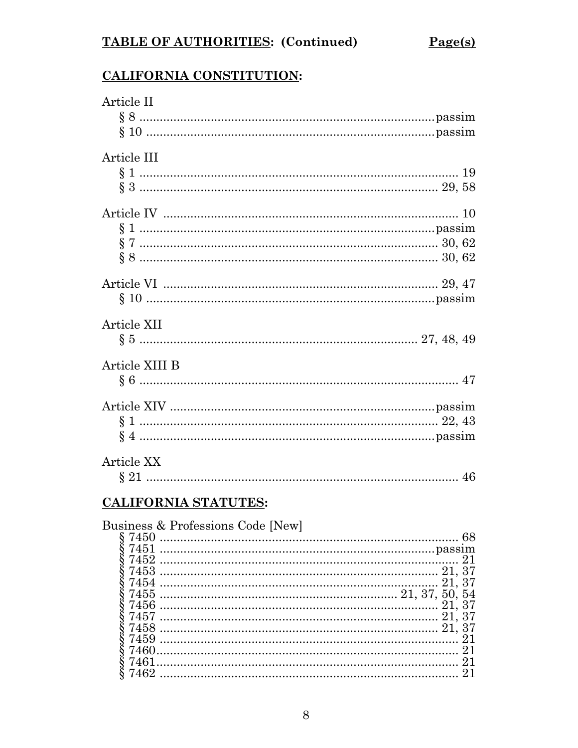# CALIFORNIA CONSTITUTION:

| Article II                        |
|-----------------------------------|
| Article III                       |
|                                   |
|                                   |
|                                   |
| Article XII                       |
| Article XIII B                    |
|                                   |
| Article XX                        |
| CALIFORNIA STATUTES:              |
| Business & Professions Code [New] |

| 7462 |  |
|------|--|
|      |  |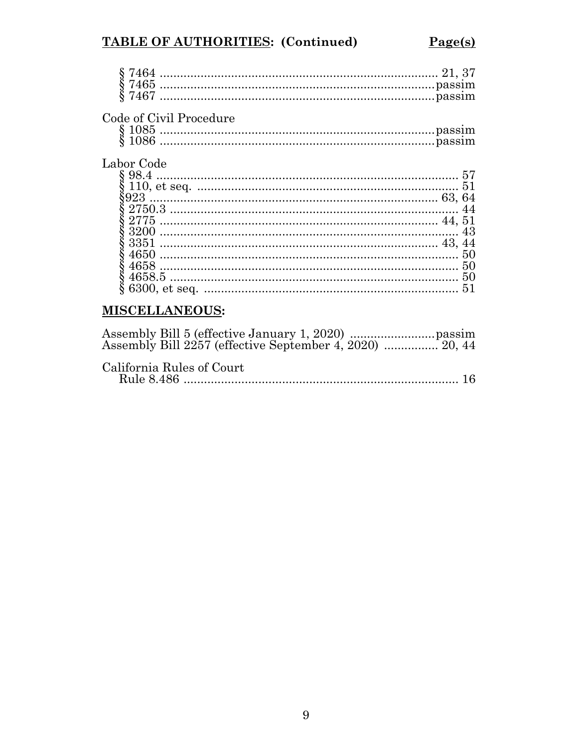# TABLE OF AUTHORITIES: (Continued)

| 57  |
|-----|
| 51  |
|     |
|     |
|     |
| 43  |
|     |
| 5() |
| 50  |
| 50  |
| 51  |
|     |
|     |

# **MISCELLANEOUS:**

| California Rules of Court |  |
|---------------------------|--|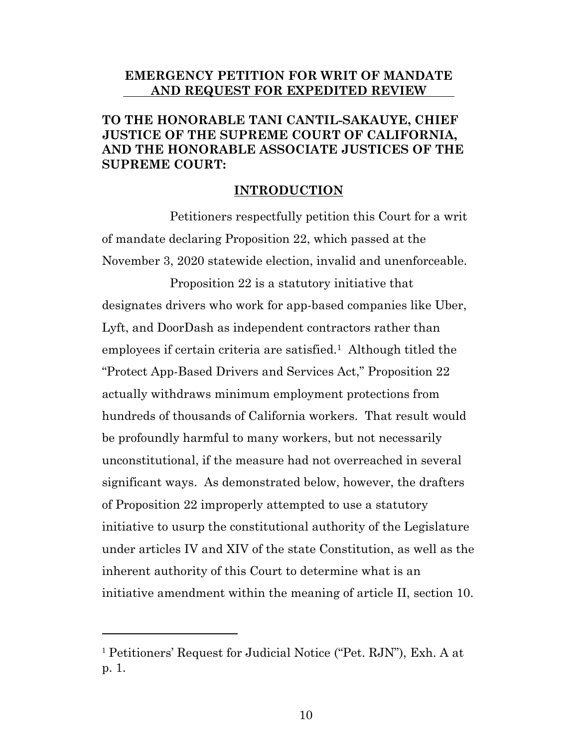### **EMERGENCY PETITION FOR WRIT OF MANDATE AND REQUEST FOR EXPEDITED REVIEW**

# **TO THE HONORABLE TANI CANTIL-SAKAUYE, CHIEF JUSTICE OF THE SUPREME COURT OF CALIFORNIA, AND THE HONORABLE ASSOCIATE JUSTICES OF THE SUPREME COURT:**

#### **INTRODUCTION**

Petitioners respectfully petition this Court for a writ of mandate declaring Proposition 22, which passed at the November 3, 2020 statewide election, invalid and unenforceable.

Proposition 22 is a statutory initiative that designates drivers who work for app-based companies like Uber, Lyft, and DoorDash as independent contractors rather than employees if certain criteria are satisfied.<sup>1</sup> Although titled the "Protect App-Based Drivers and Services Act," Proposition 22 actually withdraws minimum employment protections from hundreds of thousands of California workers. That result would be profoundly harmful to many workers, but not necessarily unconstitutional, if the measure had not overreached in several significant ways. As demonstrated below, however, the drafters of Proposition 22 improperly attempted to use a statutory initiative to usurp the constitutional authority of the Legislature under articles IV and XIV of the state Constitution, as well as the inherent authority of this Court to determine what is an initiative amendment within the meaning of article II, section 10.

<sup>1</sup> Petitioners' Request for Judicial Notice ("Pet. RJN"), Exh. A at p. 1.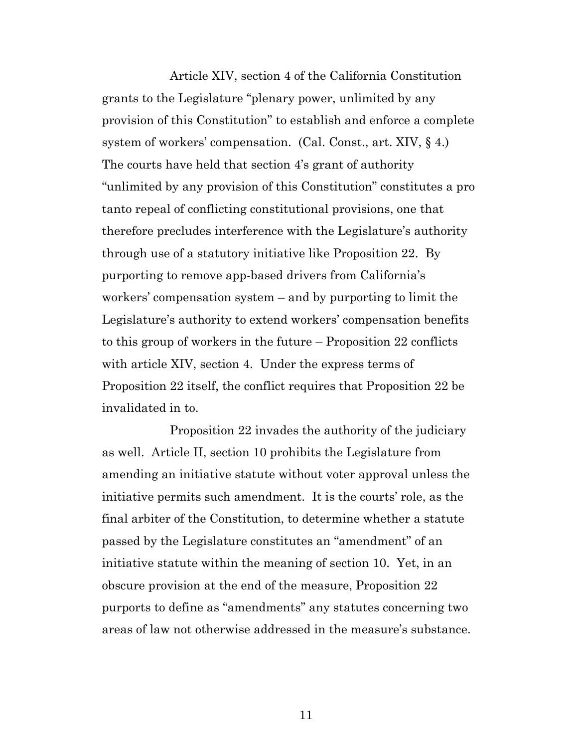Article XIV, section 4 of the California Constitution grants to the Legislature "plenary power, unlimited by any provision of this Constitution" to establish and enforce a complete system of workers' compensation. (Cal. Const., art. XIV, § 4.) The courts have held that section 4's grant of authority "unlimited by any provision of this Constitution" constitutes a pro tanto repeal of conflicting constitutional provisions, one that therefore precludes interference with the Legislature's authority through use of a statutory initiative like Proposition 22. By purporting to remove app-based drivers from California's workers' compensation system – and by purporting to limit the Legislature's authority to extend workers' compensation benefits to this group of workers in the future – Proposition 22 conflicts with article XIV, section 4. Under the express terms of Proposition 22 itself, the conflict requires that Proposition 22 be invalidated in to.

Proposition 22 invades the authority of the judiciary as well. Article II, section 10 prohibits the Legislature from amending an initiative statute without voter approval unless the initiative permits such amendment. It is the courts' role, as the final arbiter of the Constitution, to determine whether a statute passed by the Legislature constitutes an "amendment" of an initiative statute within the meaning of section 10. Yet, in an obscure provision at the end of the measure, Proposition 22 purports to define as "amendments" any statutes concerning two areas of law not otherwise addressed in the measure's substance.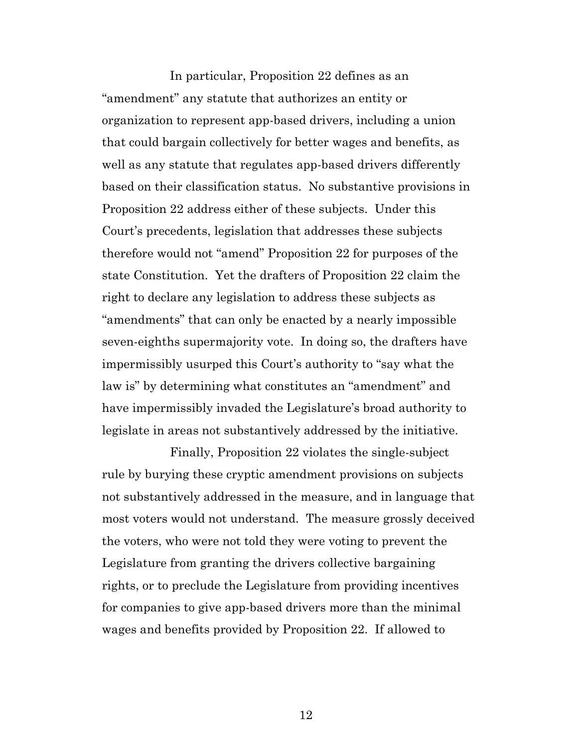In particular, Proposition 22 defines as an "amendment" any statute that authorizes an entity or organization to represent app-based drivers, including a union that could bargain collectively for better wages and benefits, as well as any statute that regulates app-based drivers differently based on their classification status. No substantive provisions in Proposition 22 address either of these subjects. Under this Court's precedents, legislation that addresses these subjects therefore would not "amend" Proposition 22 for purposes of the state Constitution. Yet the drafters of Proposition 22 claim the right to declare any legislation to address these subjects as "amendments" that can only be enacted by a nearly impossible seven-eighths supermajority vote. In doing so, the drafters have impermissibly usurped this Court's authority to "say what the law is" by determining what constitutes an "amendment" and have impermissibly invaded the Legislature's broad authority to legislate in areas not substantively addressed by the initiative.

Finally, Proposition 22 violates the single-subject rule by burying these cryptic amendment provisions on subjects not substantively addressed in the measure, and in language that most voters would not understand. The measure grossly deceived the voters, who were not told they were voting to prevent the Legislature from granting the drivers collective bargaining rights, or to preclude the Legislature from providing incentives for companies to give app-based drivers more than the minimal wages and benefits provided by Proposition 22. If allowed to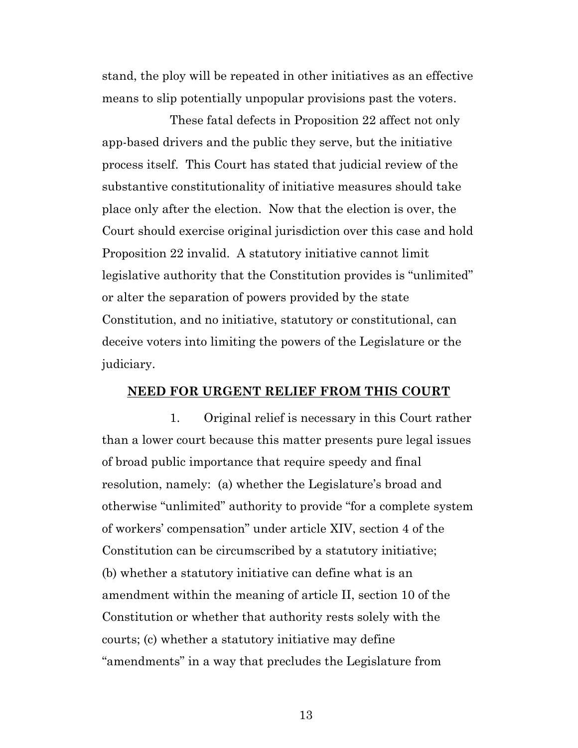stand, the ploy will be repeated in other initiatives as an effective means to slip potentially unpopular provisions past the voters.

These fatal defects in Proposition 22 affect not only app-based drivers and the public they serve, but the initiative process itself. This Court has stated that judicial review of the substantive constitutionality of initiative measures should take place only after the election. Now that the election is over, the Court should exercise original jurisdiction over this case and hold Proposition 22 invalid. A statutory initiative cannot limit legislative authority that the Constitution provides is "unlimited" or alter the separation of powers provided by the state Constitution, and no initiative, statutory or constitutional, can deceive voters into limiting the powers of the Legislature or the judiciary.

#### **NEED FOR URGENT RELIEF FROM THIS COURT**

1. Original relief is necessary in this Court rather than a lower court because this matter presents pure legal issues of broad public importance that require speedy and final resolution, namely: (a) whether the Legislature's broad and otherwise "unlimited" authority to provide "for a complete system of workers' compensation" under article XIV, section 4 of the Constitution can be circumscribed by a statutory initiative; (b) whether a statutory initiative can define what is an amendment within the meaning of article II, section 10 of the Constitution or whether that authority rests solely with the courts; (c) whether a statutory initiative may define "amendments" in a way that precludes the Legislature from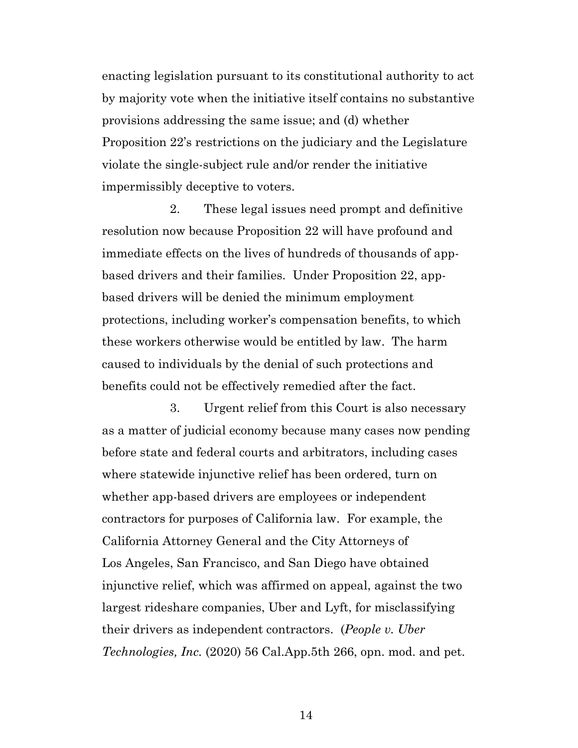enacting legislation pursuant to its constitutional authority to act by majority vote when the initiative itself contains no substantive provisions addressing the same issue; and (d) whether Proposition 22's restrictions on the judiciary and the Legislature violate the single-subject rule and/or render the initiative impermissibly deceptive to voters.

2. These legal issues need prompt and definitive resolution now because Proposition 22 will have profound and immediate effects on the lives of hundreds of thousands of appbased drivers and their families. Under Proposition 22, appbased drivers will be denied the minimum employment protections, including worker's compensation benefits, to which these workers otherwise would be entitled by law. The harm caused to individuals by the denial of such protections and benefits could not be effectively remedied after the fact.

3. Urgent relief from this Court is also necessary as a matter of judicial economy because many cases now pending before state and federal courts and arbitrators, including cases where statewide injunctive relief has been ordered, turn on whether app-based drivers are employees or independent contractors for purposes of California law. For example, the California Attorney General and the City Attorneys of Los Angeles, San Francisco, and San Diego have obtained injunctive relief, which was affirmed on appeal, against the two largest rideshare companies, Uber and Lyft, for misclassifying their drivers as independent contractors. (*People v. Uber Technologies, Inc.* (2020) 56 Cal.App.5th 266, opn. mod. and pet.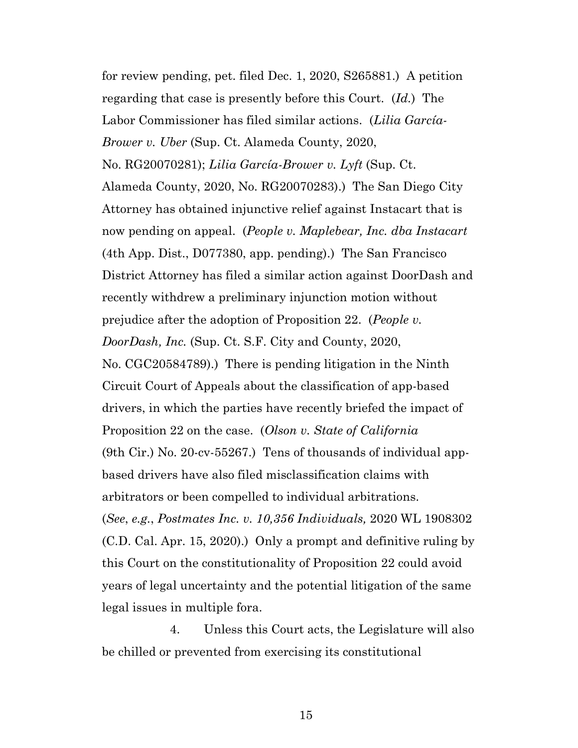for review pending, pet. filed Dec. 1, 2020, S265881.) A petition regarding that case is presently before this Court. (*Id.*) The Labor Commissioner has filed similar actions. (*Lilia García-Brower v. Uber* (Sup. Ct. Alameda County, 2020, No. RG20070281); *Lilia García-Brower v. Lyft* (Sup. Ct. Alameda County, 2020, No. RG20070283).) The San Diego City Attorney has obtained injunctive relief against Instacart that is now pending on appeal. (*People v. Maplebear, Inc. dba Instacart* (4th App. Dist., D077380, app. pending).) The San Francisco District Attorney has filed a similar action against DoorDash and recently withdrew a preliminary injunction motion without prejudice after the adoption of Proposition 22. (*People v. DoorDash, Inc.* (Sup. Ct. S.F. City and County, 2020, No. CGC20584789).) There is pending litigation in the Ninth Circuit Court of Appeals about the classification of app-based drivers, in which the parties have recently briefed the impact of Proposition 22 on the case. (*Olson v. State of California*  (9th Cir.) No. 20-cv-55267.) Tens of thousands of individual appbased drivers have also filed misclassification claims with arbitrators or been compelled to individual arbitrations. (*See*, *e.g.*, *Postmates Inc. v. 10,356 Individuals,* 2020 WL 1908302 (C.D. Cal. Apr. 15, 2020).) Only a prompt and definitive ruling by this Court on the constitutionality of Proposition 22 could avoid years of legal uncertainty and the potential litigation of the same legal issues in multiple fora.

4. Unless this Court acts, the Legislature will also be chilled or prevented from exercising its constitutional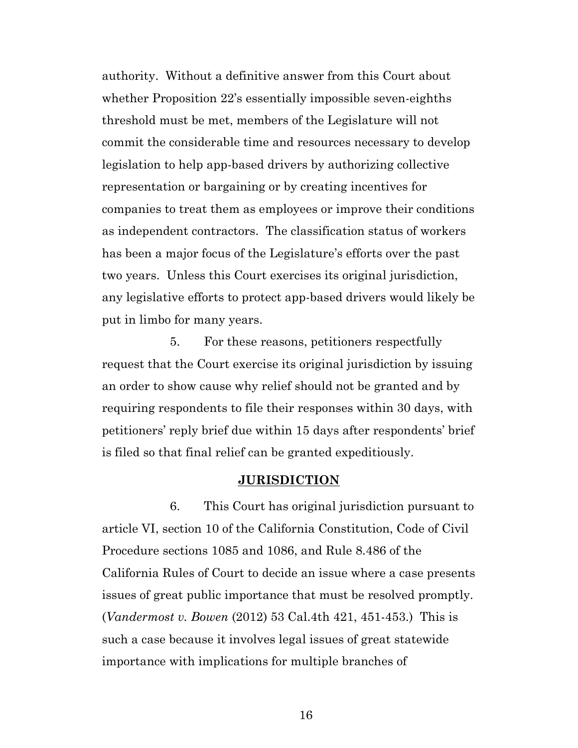authority. Without a definitive answer from this Court about whether Proposition 22's essentially impossible seven-eighths threshold must be met, members of the Legislature will not commit the considerable time and resources necessary to develop legislation to help app-based drivers by authorizing collective representation or bargaining or by creating incentives for companies to treat them as employees or improve their conditions as independent contractors. The classification status of workers has been a major focus of the Legislature's efforts over the past two years. Unless this Court exercises its original jurisdiction, any legislative efforts to protect app-based drivers would likely be put in limbo for many years.

5. For these reasons, petitioners respectfully request that the Court exercise its original jurisdiction by issuing an order to show cause why relief should not be granted and by requiring respondents to file their responses within 30 days, with petitioners' reply brief due within 15 days after respondents' brief is filed so that final relief can be granted expeditiously.

#### **JURISDICTION**

6. This Court has original jurisdiction pursuant to article VI, section 10 of the California Constitution, Code of Civil Procedure sections 1085 and 1086, and Rule 8.486 of the California Rules of Court to decide an issue where a case presents issues of great public importance that must be resolved promptly. (*Vandermost v. Bowen* (2012) 53 Cal.4th 421, 451-453.) This is such a case because it involves legal issues of great statewide importance with implications for multiple branches of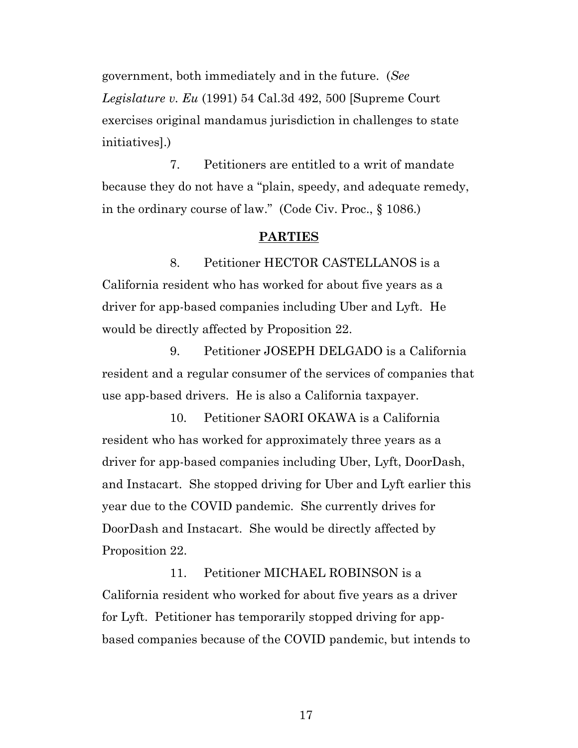government, both immediately and in the future. (*See Legislature v. Eu* (1991) 54 Cal.3d 492, 500 [Supreme Court exercises original mandamus jurisdiction in challenges to state initiatives].)

7. Petitioners are entitled to a writ of mandate because they do not have a "plain, speedy, and adequate remedy, in the ordinary course of law." (Code Civ. Proc., § 1086.)

### **PARTIES**

8. Petitioner HECTOR CASTELLANOS is a California resident who has worked for about five years as a driver for app-based companies including Uber and Lyft. He would be directly affected by Proposition 22.

9. Petitioner JOSEPH DELGADO is a California resident and a regular consumer of the services of companies that use app-based drivers. He is also a California taxpayer.

10. Petitioner SAORI OKAWA is a California resident who has worked for approximately three years as a driver for app-based companies including Uber, Lyft, DoorDash, and Instacart. She stopped driving for Uber and Lyft earlier this year due to the COVID pandemic. She currently drives for DoorDash and Instacart. She would be directly affected by Proposition 22.

11. Petitioner MICHAEL ROBINSON is a California resident who worked for about five years as a driver for Lyft. Petitioner has temporarily stopped driving for appbased companies because of the COVID pandemic, but intends to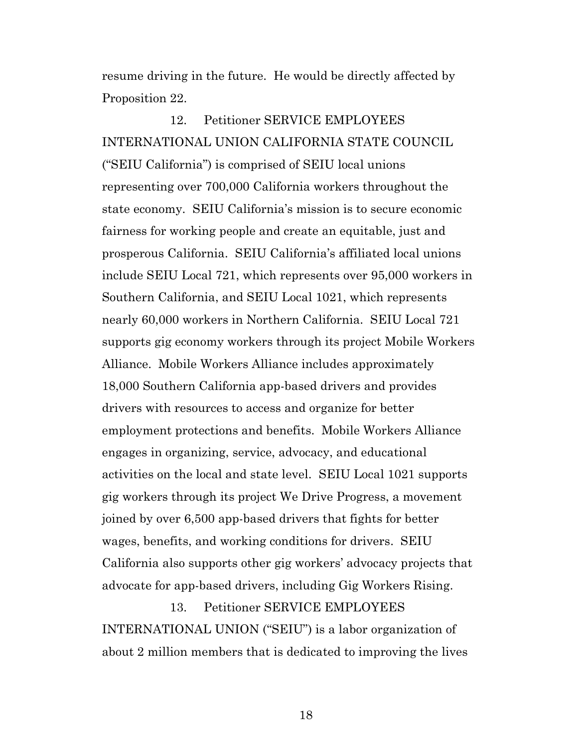resume driving in the future. He would be directly affected by Proposition 22.

12. Petitioner SERVICE EMPLOYEES INTERNATIONAL UNION CALIFORNIA STATE COUNCIL ("SEIU California") is comprised of SEIU local unions representing over 700,000 California workers throughout the state economy. SEIU California's mission is to secure economic fairness for working people and create an equitable, just and prosperous California. SEIU California's affiliated local unions include SEIU Local 721, which represents over 95,000 workers in Southern California, and SEIU Local 1021, which represents nearly 60,000 workers in Northern California. SEIU Local 721 supports gig economy workers through its project Mobile Workers Alliance. Mobile Workers Alliance includes approximately 18,000 Southern California app-based drivers and provides drivers with resources to access and organize for better employment protections and benefits. Mobile Workers Alliance engages in organizing, service, advocacy, and educational activities on the local and state level. SEIU Local 1021 supports gig workers through its project We Drive Progress, a movement joined by over 6,500 app-based drivers that fights for better wages, benefits, and working conditions for drivers. SEIU California also supports other gig workers' advocacy projects that advocate for app-based drivers, including Gig Workers Rising.

13. Petitioner SERVICE EMPLOYEES INTERNATIONAL UNION ("SEIU") is a labor organization of about 2 million members that is dedicated to improving the lives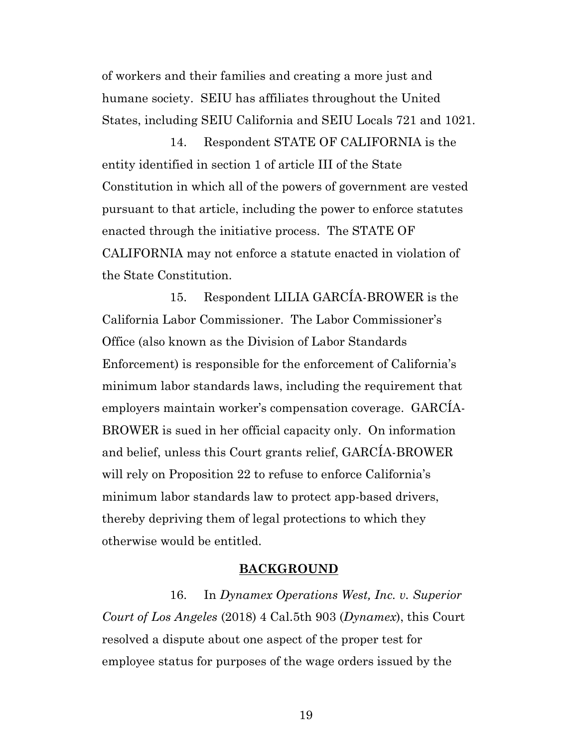of workers and their families and creating a more just and humane society. SEIU has affiliates throughout the United States, including SEIU California and SEIU Locals 721 and 1021.

14. Respondent STATE OF CALIFORNIA is the entity identified in section 1 of article III of the State Constitution in which all of the powers of government are vested pursuant to that article, including the power to enforce statutes enacted through the initiative process. The STATE OF CALIFORNIA may not enforce a statute enacted in violation of the State Constitution.

15. Respondent LILIA GARCÍA-BROWER is the California Labor Commissioner. The Labor Commissioner's Office (also known as the Division of Labor Standards Enforcement) is responsible for the enforcement of California's minimum labor standards laws, including the requirement that employers maintain worker's compensation coverage. GARCÍA-BROWER is sued in her official capacity only. On information and belief, unless this Court grants relief, GARCÍA-BROWER will rely on Proposition 22 to refuse to enforce California's minimum labor standards law to protect app-based drivers, thereby depriving them of legal protections to which they otherwise would be entitled.

#### **BACKGROUND**

16. In *Dynamex Operations West, Inc. v. Superior Court of Los Angeles* (2018) 4 Cal.5th 903 (*Dynamex*), this Court resolved a dispute about one aspect of the proper test for employee status for purposes of the wage orders issued by the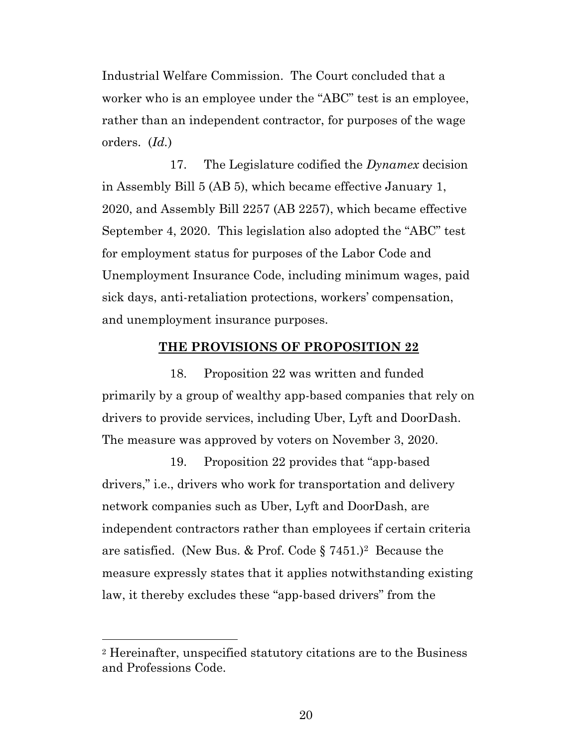Industrial Welfare Commission. The Court concluded that a worker who is an employee under the "ABC" test is an employee, rather than an independent contractor, for purposes of the wage orders. (*Id.*)

17. The Legislature codified the *Dynamex* decision in Assembly Bill 5 (AB 5), which became effective January 1, 2020, and Assembly Bill 2257 (AB 2257), which became effective September 4, 2020. This legislation also adopted the "ABC" test for employment status for purposes of the Labor Code and Unemployment Insurance Code, including minimum wages, paid sick days, anti-retaliation protections, workers' compensation, and unemployment insurance purposes.

#### **THE PROVISIONS OF PROPOSITION 22**

18. Proposition 22 was written and funded primarily by a group of wealthy app-based companies that rely on drivers to provide services, including Uber, Lyft and DoorDash. The measure was approved by voters on November 3, 2020.

19. Proposition 22 provides that "app-based drivers," i.e., drivers who work for transportation and delivery network companies such as Uber, Lyft and DoorDash, are independent contractors rather than employees if certain criteria are satisfied. (New Bus. & Prof. Code § 7451.)2 Because the measure expressly states that it applies notwithstanding existing law, it thereby excludes these "app-based drivers" from the

<sup>2</sup> Hereinafter, unspecified statutory citations are to the Business and Professions Code.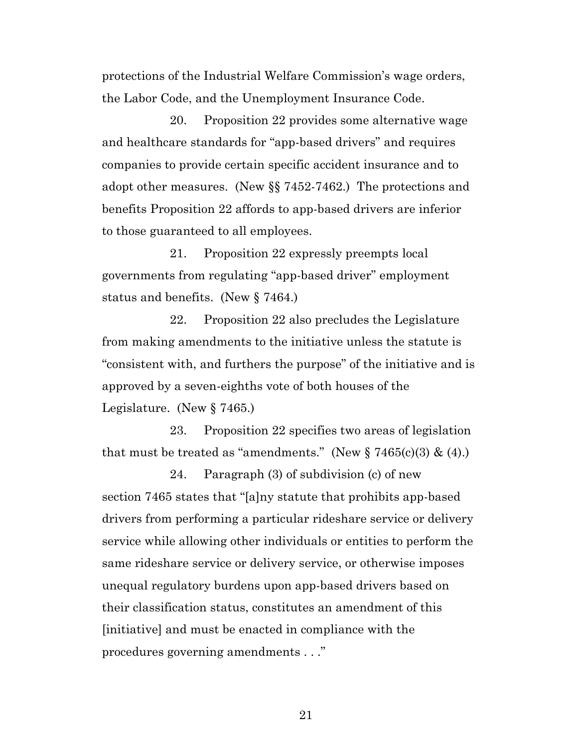protections of the Industrial Welfare Commission's wage orders, the Labor Code, and the Unemployment Insurance Code.

20. Proposition 22 provides some alternative wage and healthcare standards for "app-based drivers" and requires companies to provide certain specific accident insurance and to adopt other measures. (New §§ 7452-7462.) The protections and benefits Proposition 22 affords to app-based drivers are inferior to those guaranteed to all employees.

21. Proposition 22 expressly preempts local governments from regulating "app-based driver" employment status and benefits. (New § 7464.)

22. Proposition 22 also precludes the Legislature from making amendments to the initiative unless the statute is "consistent with, and furthers the purpose" of the initiative and is approved by a seven-eighths vote of both houses of the Legislature. (New § 7465.)

23. Proposition 22 specifies two areas of legislation that must be treated as "amendments." (New  $\S 7465(c)(3) \& (4)$ .)

24. Paragraph (3) of subdivision (c) of new section 7465 states that "[a]ny statute that prohibits app-based drivers from performing a particular rideshare service or delivery service while allowing other individuals or entities to perform the same rideshare service or delivery service, or otherwise imposes unequal regulatory burdens upon app-based drivers based on their classification status, constitutes an amendment of this [initiative] and must be enacted in compliance with the procedures governing amendments . . ."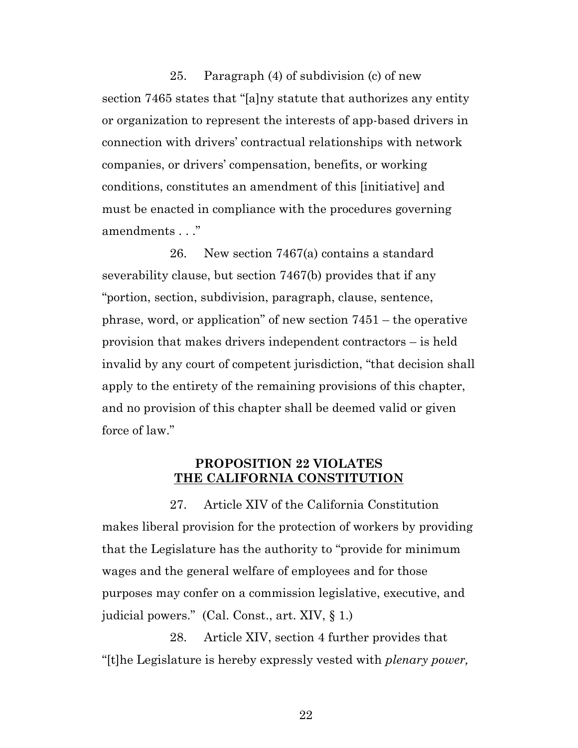25. Paragraph (4) of subdivision (c) of new section 7465 states that "[a]ny statute that authorizes any entity or organization to represent the interests of app-based drivers in connection with drivers' contractual relationships with network companies, or drivers' compensation, benefits, or working conditions, constitutes an amendment of this [initiative] and must be enacted in compliance with the procedures governing amendments . . ."

26. New section 7467(a) contains a standard severability clause, but section 7467(b) provides that if any "portion, section, subdivision, paragraph, clause, sentence, phrase, word, or application" of new section 7451 – the operative provision that makes drivers independent contractors – is held invalid by any court of competent jurisdiction, "that decision shall apply to the entirety of the remaining provisions of this chapter, and no provision of this chapter shall be deemed valid or given force of law."

### **PROPOSITION 22 VIOLATES THE CALIFORNIA CONSTITUTION**

27. Article XIV of the California Constitution makes liberal provision for the protection of workers by providing that the Legislature has the authority to "provide for minimum wages and the general welfare of employees and for those purposes may confer on a commission legislative, executive, and judicial powers." (Cal. Const., art. XIV, § 1.)

28. Article XIV, section 4 further provides that "[t]he Legislature is hereby expressly vested with *plenary power,*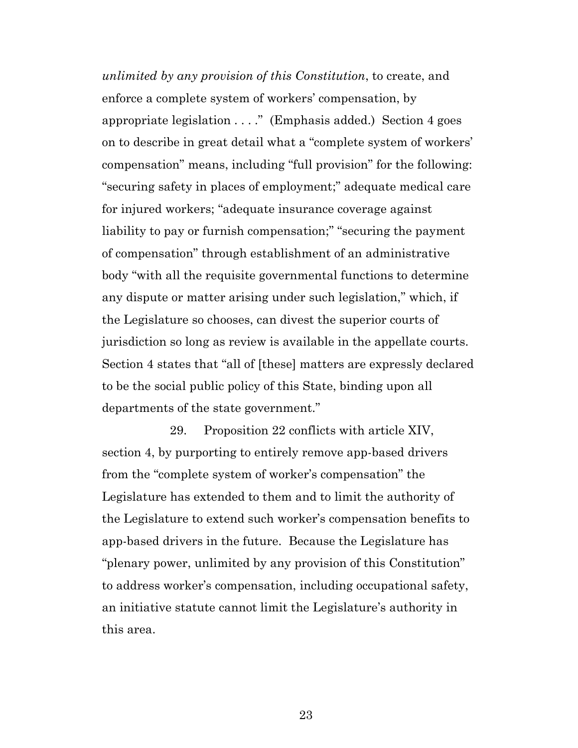*unlimited by any provision of this Constitution*, to create, and enforce a complete system of workers' compensation, by appropriate legislation . . . ." (Emphasis added.) Section 4 goes on to describe in great detail what a "complete system of workers' compensation" means, including "full provision" for the following: "securing safety in places of employment;" adequate medical care for injured workers; "adequate insurance coverage against liability to pay or furnish compensation;" "securing the payment of compensation" through establishment of an administrative body "with all the requisite governmental functions to determine any dispute or matter arising under such legislation," which, if the Legislature so chooses, can divest the superior courts of jurisdiction so long as review is available in the appellate courts. Section 4 states that "all of [these] matters are expressly declared to be the social public policy of this State, binding upon all departments of the state government."

29. Proposition 22 conflicts with article XIV, section 4, by purporting to entirely remove app-based drivers from the "complete system of worker's compensation" the Legislature has extended to them and to limit the authority of the Legislature to extend such worker's compensation benefits to app-based drivers in the future. Because the Legislature has "plenary power, unlimited by any provision of this Constitution" to address worker's compensation, including occupational safety, an initiative statute cannot limit the Legislature's authority in this area.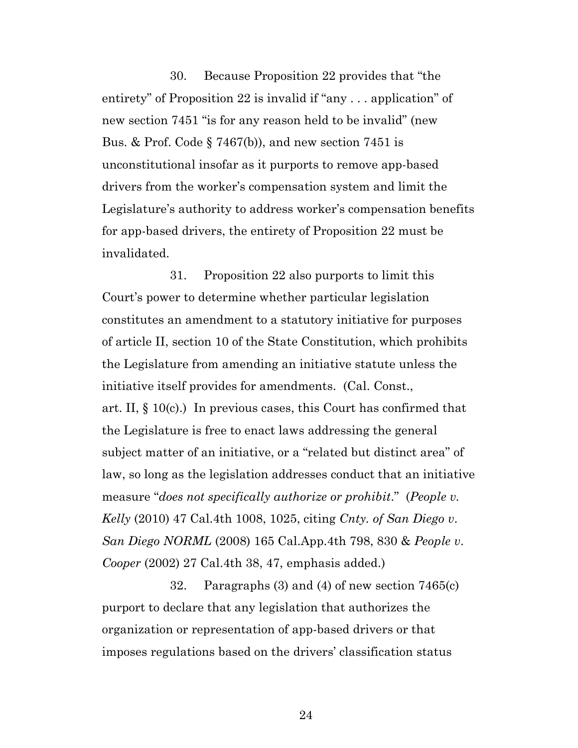30. Because Proposition 22 provides that "the entirety" of Proposition 22 is invalid if "any . . . application" of new section 7451 "is for any reason held to be invalid" (new Bus. & Prof. Code  $\S 7467(b)$ , and new section 7451 is unconstitutional insofar as it purports to remove app-based drivers from the worker's compensation system and limit the Legislature's authority to address worker's compensation benefits for app-based drivers, the entirety of Proposition 22 must be invalidated.

31. Proposition 22 also purports to limit this Court's power to determine whether particular legislation constitutes an amendment to a statutory initiative for purposes of article II, section 10 of the State Constitution, which prohibits the Legislature from amending an initiative statute unless the initiative itself provides for amendments. (Cal. Const., art. II, § 10(c).) In previous cases, this Court has confirmed that the Legislature is free to enact laws addressing the general subject matter of an initiative, or a "related but distinct area" of law, so long as the legislation addresses conduct that an initiative measure "*does not specifically authorize or prohibit*." (*People v. Kelly* (2010) 47 Cal.4th 1008, 1025, citing *Cnty. of San Diego v*. *San Diego NORML* (2008) 165 Cal.App.4th 798, 830 & *People v*. *Cooper* (2002) 27 Cal.4th 38, 47, emphasis added.)

32. Paragraphs (3) and (4) of new section 7465(c) purport to declare that any legislation that authorizes the organization or representation of app-based drivers or that imposes regulations based on the drivers' classification status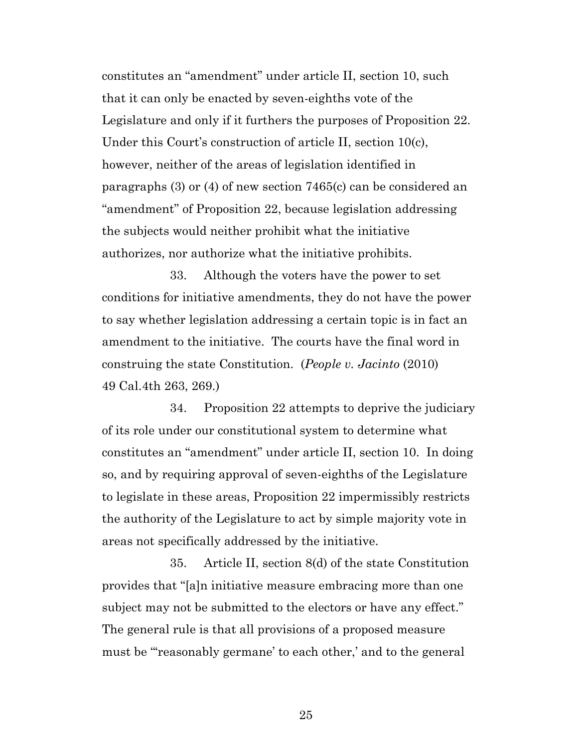constitutes an "amendment" under article II, section 10, such that it can only be enacted by seven-eighths vote of the Legislature and only if it furthers the purposes of Proposition 22. Under this Court's construction of article II, section 10(c), however, neither of the areas of legislation identified in paragraphs (3) or (4) of new section 7465(c) can be considered an "amendment" of Proposition 22, because legislation addressing the subjects would neither prohibit what the initiative authorizes, nor authorize what the initiative prohibits.

33. Although the voters have the power to set conditions for initiative amendments, they do not have the power to say whether legislation addressing a certain topic is in fact an amendment to the initiative. The courts have the final word in construing the state Constitution. (*People v. Jacinto* (2010) 49 Cal.4th 263, 269.)

34. Proposition 22 attempts to deprive the judiciary of its role under our constitutional system to determine what constitutes an "amendment" under article II, section 10. In doing so, and by requiring approval of seven-eighths of the Legislature to legislate in these areas, Proposition 22 impermissibly restricts the authority of the Legislature to act by simple majority vote in areas not specifically addressed by the initiative.

35. Article II, section 8(d) of the state Constitution provides that "[a]n initiative measure embracing more than one subject may not be submitted to the electors or have any effect." The general rule is that all provisions of a proposed measure must be "'reasonably germane' to each other,' and to the general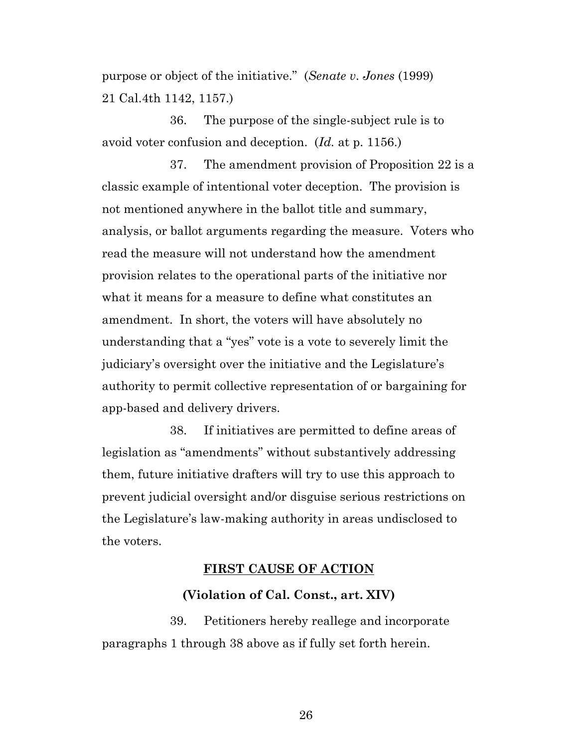purpose or object of the initiative." (*Senate v*. *Jones* (1999) 21 Cal.4th 1142, 1157.)

36. The purpose of the single-subject rule is to avoid voter confusion and deception. (*Id.* at p. 1156.)

37. The amendment provision of Proposition 22 is a classic example of intentional voter deception. The provision is not mentioned anywhere in the ballot title and summary, analysis, or ballot arguments regarding the measure. Voters who read the measure will not understand how the amendment provision relates to the operational parts of the initiative nor what it means for a measure to define what constitutes an amendment. In short, the voters will have absolutely no understanding that a "yes" vote is a vote to severely limit the judiciary's oversight over the initiative and the Legislature's authority to permit collective representation of or bargaining for app-based and delivery drivers.

38. If initiatives are permitted to define areas of legislation as "amendments" without substantively addressing them, future initiative drafters will try to use this approach to prevent judicial oversight and/or disguise serious restrictions on the Legislature's law-making authority in areas undisclosed to the voters.

### **FIRST CAUSE OF ACTION**

#### **(Violation of Cal. Const., art. XIV)**

39. Petitioners hereby reallege and incorporate paragraphs 1 through 38 above as if fully set forth herein.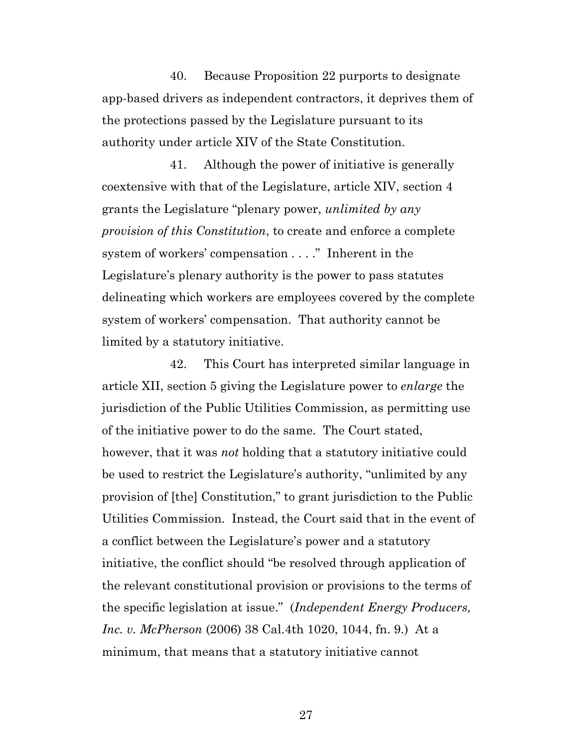40. Because Proposition 22 purports to designate app-based drivers as independent contractors, it deprives them of the protections passed by the Legislature pursuant to its authority under article XIV of the State Constitution.

41. Although the power of initiative is generally coextensive with that of the Legislature, article XIV, section 4 grants the Legislature "plenary power, *unlimited by any provision of this Constitution*, to create and enforce a complete system of workers' compensation . . . ." Inherent in the Legislature's plenary authority is the power to pass statutes delineating which workers are employees covered by the complete system of workers' compensation. That authority cannot be limited by a statutory initiative.

42. This Court has interpreted similar language in article XII, section 5 giving the Legislature power to *enlarge* the jurisdiction of the Public Utilities Commission, as permitting use of the initiative power to do the same. The Court stated, however, that it was *not* holding that a statutory initiative could be used to restrict the Legislature's authority, "unlimited by any provision of [the] Constitution," to grant jurisdiction to the Public Utilities Commission. Instead, the Court said that in the event of a conflict between the Legislature's power and a statutory initiative, the conflict should "be resolved through application of the relevant constitutional provision or provisions to the terms of the specific legislation at issue." (*Independent Energy Producers, Inc. v. McPherson* (2006) 38 Cal.4th 1020, 1044, fn. 9.) At a minimum, that means that a statutory initiative cannot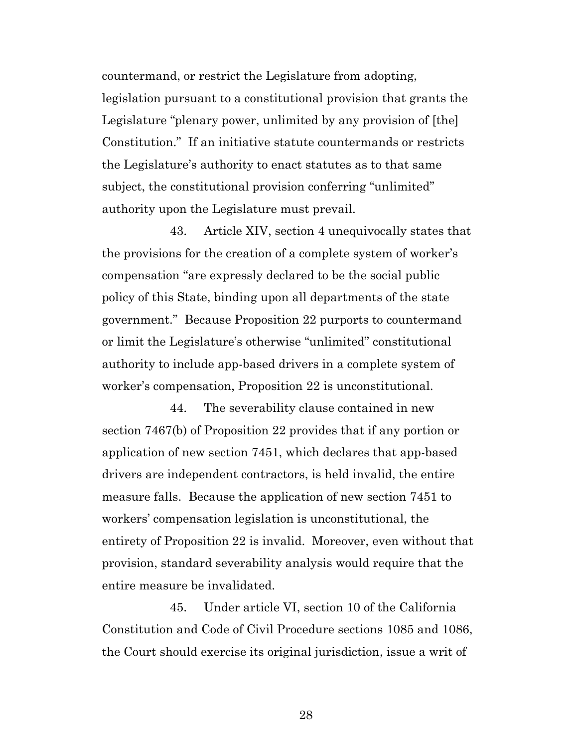countermand, or restrict the Legislature from adopting, legislation pursuant to a constitutional provision that grants the Legislature "plenary power, unlimited by any provision of [the] Constitution." If an initiative statute countermands or restricts the Legislature's authority to enact statutes as to that same subject, the constitutional provision conferring "unlimited" authority upon the Legislature must prevail.

43. Article XIV, section 4 unequivocally states that the provisions for the creation of a complete system of worker's compensation "are expressly declared to be the social public policy of this State, binding upon all departments of the state government." Because Proposition 22 purports to countermand or limit the Legislature's otherwise "unlimited" constitutional authority to include app-based drivers in a complete system of worker's compensation, Proposition 22 is unconstitutional.

44. The severability clause contained in new section 7467(b) of Proposition 22 provides that if any portion or application of new section 7451, which declares that app-based drivers are independent contractors, is held invalid, the entire measure falls. Because the application of new section 7451 to workers' compensation legislation is unconstitutional, the entirety of Proposition 22 is invalid. Moreover, even without that provision, standard severability analysis would require that the entire measure be invalidated.

45. Under article VI, section 10 of the California Constitution and Code of Civil Procedure sections 1085 and 1086, the Court should exercise its original jurisdiction, issue a writ of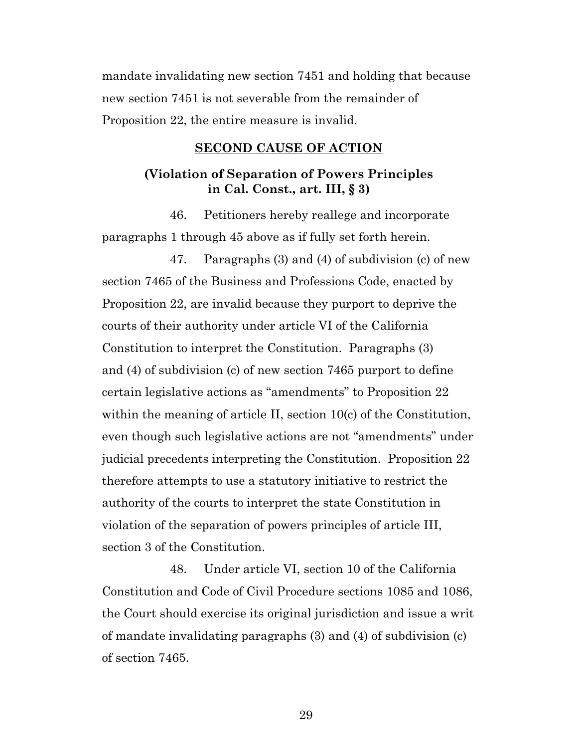mandate invalidating new section 7451 and holding that because new section 7451 is not severable from the remainder of Proposition 22, the entire measure is invalid.

#### **SECOND CAUSE OF ACTION**

### **(Violation of Separation of Powers Principles in Cal. Const., art. III, § 3)**

46. Petitioners hereby reallege and incorporate paragraphs 1 through 45 above as if fully set forth herein.

47. Paragraphs (3) and (4) of subdivision (c) of new section 7465 of the Business and Professions Code, enacted by Proposition 22, are invalid because they purport to deprive the courts of their authority under article VI of the California Constitution to interpret the Constitution. Paragraphs (3) and (4) of subdivision (c) of new section 7465 purport to define certain legislative actions as "amendments" to Proposition 22 within the meaning of article II, section 10(c) of the Constitution, even though such legislative actions are not "amendments" under judicial precedents interpreting the Constitution. Proposition 22 therefore attempts to use a statutory initiative to restrict the authority of the courts to interpret the state Constitution in violation of the separation of powers principles of article III, section 3 of the Constitution.

48. Under article VI, section 10 of the California Constitution and Code of Civil Procedure sections 1085 and 1086, the Court should exercise its original jurisdiction and issue a writ of mandate invalidating paragraphs (3) and (4) of subdivision (c) of section 7465.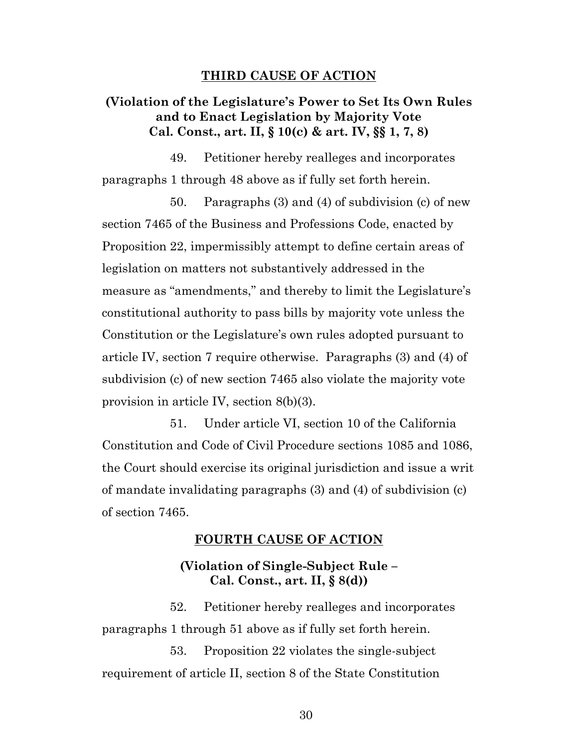#### **THIRD CAUSE OF ACTION**

### **(Violation of the Legislature's Power to Set Its Own Rules and to Enact Legislation by Majority Vote Cal. Const., art. II, § 10(c) & art. IV, §§ 1, 7, 8)**

49. Petitioner hereby realleges and incorporates paragraphs 1 through 48 above as if fully set forth herein.

50. Paragraphs (3) and (4) of subdivision (c) of new section 7465 of the Business and Professions Code, enacted by Proposition 22, impermissibly attempt to define certain areas of legislation on matters not substantively addressed in the measure as "amendments," and thereby to limit the Legislature's constitutional authority to pass bills by majority vote unless the Constitution or the Legislature's own rules adopted pursuant to article IV, section 7 require otherwise. Paragraphs (3) and (4) of subdivision (c) of new section 7465 also violate the majority vote provision in article IV, section 8(b)(3).

51. Under article VI, section 10 of the California Constitution and Code of Civil Procedure sections 1085 and 1086, the Court should exercise its original jurisdiction and issue a writ of mandate invalidating paragraphs (3) and (4) of subdivision (c) of section 7465.

#### **FOURTH CAUSE OF ACTION**

### **(Violation of Single-Subject Rule – Cal. Const., art. II, § 8(d))**

52. Petitioner hereby realleges and incorporates paragraphs 1 through 51 above as if fully set forth herein.

53. Proposition 22 violates the single-subject requirement of article II, section 8 of the State Constitution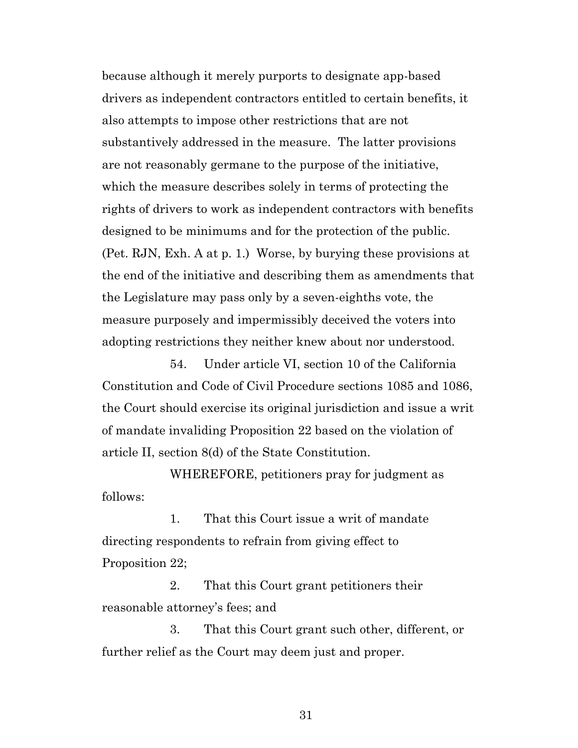because although it merely purports to designate app-based drivers as independent contractors entitled to certain benefits, it also attempts to impose other restrictions that are not substantively addressed in the measure. The latter provisions are not reasonably germane to the purpose of the initiative, which the measure describes solely in terms of protecting the rights of drivers to work as independent contractors with benefits designed to be minimums and for the protection of the public. (Pet. RJN, Exh. A at p. 1.) Worse, by burying these provisions at the end of the initiative and describing them as amendments that the Legislature may pass only by a seven-eighths vote, the measure purposely and impermissibly deceived the voters into adopting restrictions they neither knew about nor understood.

54. Under article VI, section 10 of the California Constitution and Code of Civil Procedure sections 1085 and 1086, the Court should exercise its original jurisdiction and issue a writ of mandate invaliding Proposition 22 based on the violation of article II, section 8(d) of the State Constitution.

WHEREFORE, petitioners pray for judgment as follows:

1. That this Court issue a writ of mandate directing respondents to refrain from giving effect to Proposition 22;

2. That this Court grant petitioners their reasonable attorney's fees; and

3. That this Court grant such other, different, or further relief as the Court may deem just and proper.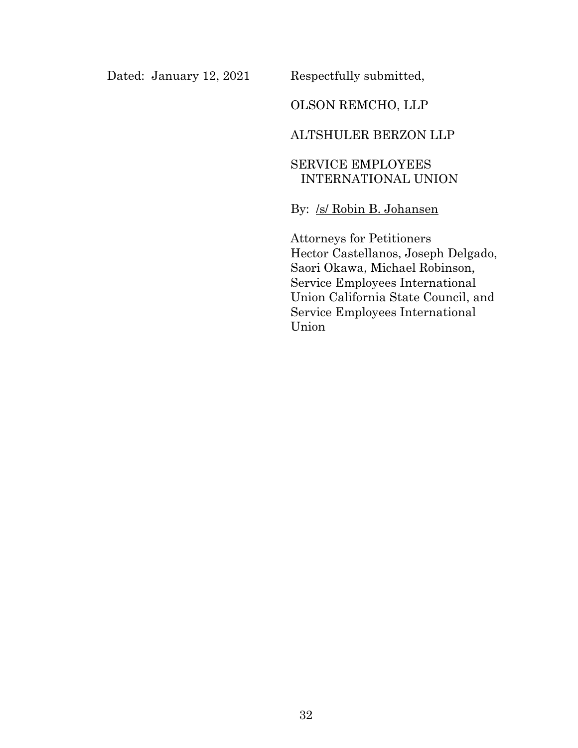Dated: January 12, 2021 Respectfully submitted,

# OLSON REMCHO, LLP

### ALTSHULER BERZON LLP

# SERVICE EMPLOYEES INTERNATIONAL UNION

# By: /s/ Robin B. Johansen

Attorneys for Petitioners Hector Castellanos, Joseph Delgado, Saori Okawa, Michael Robinson, Service Employees International Union California State Council, and Service Employees International Union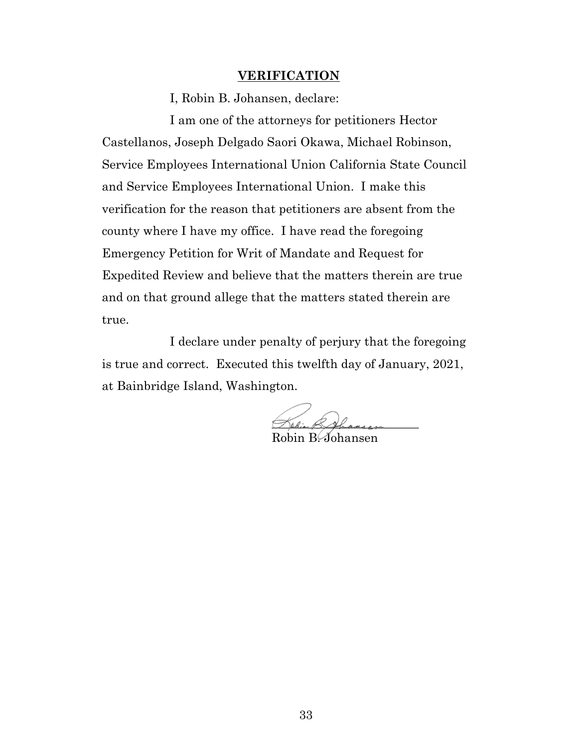#### **VERIFICATION**

I, Robin B. Johansen, declare:

I am one of the attorneys for petitioners Hector Castellanos, Joseph Delgado Saori Okawa, Michael Robinson, Service Employees International Union California State Council and Service Employees International Union. I make this verification for the reason that petitioners are absent from the county where I have my office. I have read the foregoing Emergency Petition for Writ of Mandate and Request for Expedited Review and believe that the matters therein are true and on that ground allege that the matters stated therein are true.

I declare under penalty of perjury that the foregoing is true and correct. Executed this twelfth day of January, 2021, at Bainbridge Island, Washington.

Helin BAhansen Robin B. Johansen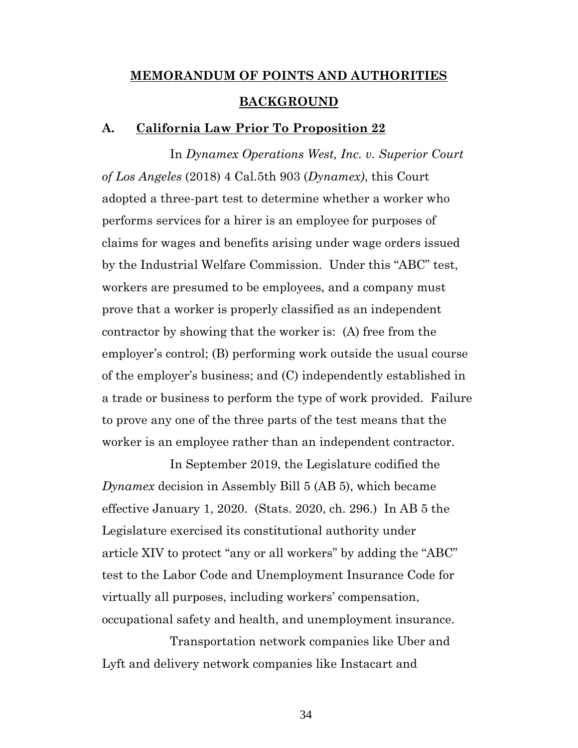# **MEMORANDUM OF POINTS AND AUTHORITIES BACKGROUND**

#### **A. California Law Prior To Proposition 22**

In *Dynamex Operations West, Inc. v. Superior Court of Los Angeles* (2018) 4 Cal.5th 903 (*Dynamex)*, this Court adopted a three-part test to determine whether a worker who performs services for a hirer is an employee for purposes of claims for wages and benefits arising under wage orders issued by the Industrial Welfare Commission. Under this "ABC" test, workers are presumed to be employees, and a company must prove that a worker is properly classified as an independent contractor by showing that the worker is: (A) free from the employer's control; (B) performing work outside the usual course of the employer's business; and (C) independently established in a trade or business to perform the type of work provided. Failure to prove any one of the three parts of the test means that the worker is an employee rather than an independent contractor.

In September 2019, the Legislature codified the *Dynamex* decision in Assembly Bill 5 (AB 5), which became effective January 1, 2020. (Stats. 2020, ch. 296.) In AB 5 the Legislature exercised its constitutional authority under article XIV to protect "any or all workers" by adding the "ABC" test to the Labor Code and Unemployment Insurance Code for virtually all purposes, including workers' compensation, occupational safety and health, and unemployment insurance.

Transportation network companies like Uber and Lyft and delivery network companies like Instacart and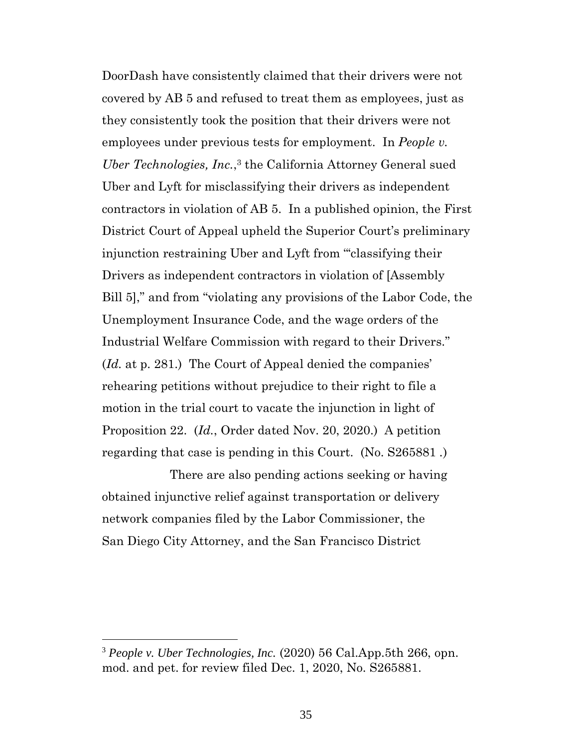DoorDash have consistently claimed that their drivers were not covered by AB 5 and refused to treat them as employees, just as they consistently took the position that their drivers were not employees under previous tests for employment. In *People v. Uber Technologies, Inc.*, <sup>3</sup> the California Attorney General sued Uber and Lyft for misclassifying their drivers as independent contractors in violation of AB 5. In a published opinion, the First District Court of Appeal upheld the Superior Court's preliminary injunction restraining Uber and Lyft from "'classifying their Drivers as independent contractors in violation of [Assembly Bill 5]," and from "violating any provisions of the Labor Code, the Unemployment Insurance Code, and the wage orders of the Industrial Welfare Commission with regard to their Drivers." (*Id.* at p. 281.) The Court of Appeal denied the companies' rehearing petitions without prejudice to their right to file a motion in the trial court to vacate the injunction in light of Proposition 22. (*Id.*, Order dated Nov. 20, 2020.) A petition regarding that case is pending in this Court. (No. S265881 *.*)

There are also pending actions seeking or having obtained injunctive relief against transportation or delivery network companies filed by the Labor Commissioner, the San Diego City Attorney, and the San Francisco District

<sup>3</sup> *People v. Uber Technologies, Inc.* (2020) 56 Cal.App.5th 266, opn. mod. and pet. for review filed Dec. 1, 2020, No. S265881.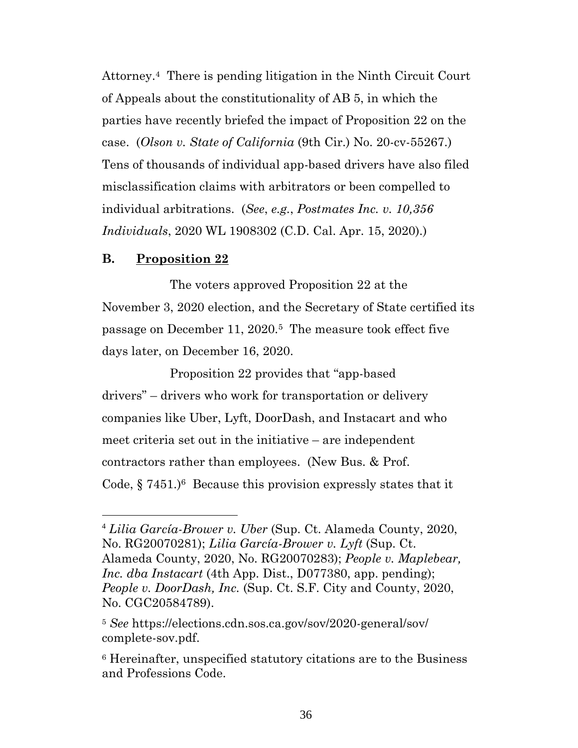Attorney.4 There is pending litigation in the Ninth Circuit Court of Appeals about the constitutionality of AB 5, in which the parties have recently briefed the impact of Proposition 22 on the case. (*Olson v. State of California* (9th Cir.) No. 20-cv-55267.) Tens of thousands of individual app-based drivers have also filed misclassification claims with arbitrators or been compelled to individual arbitrations. (*See*, *e.g.*, *Postmates Inc. v. 10,356 Individuals*, 2020 WL 1908302 (C.D. Cal. Apr. 15, 2020).)

### **B. Proposition 22**

The voters approved Proposition 22 at the November 3, 2020 election, and the Secretary of State certified its passage on December 11, 2020. <sup>5</sup> The measure took effect five days later, on December 16, 2020.

Proposition 22 provides that "app-based drivers" – drivers who work for transportation or delivery companies like Uber, Lyft, DoorDash, and Instacart and who meet criteria set out in the initiative – are independent contractors rather than employees. (New Bus. & Prof. Code,  $\S 7451.$ <sup>6</sup> Because this provision expressly states that it

<sup>4</sup> *Lilia García-Brower v. Uber* (Sup. Ct. Alameda County, 2020, No. RG20070281); *Lilia García-Brower v. Lyft* (Sup. Ct. Alameda County, 2020, No. RG20070283); *People v. Maplebear, Inc. dba Instacart* (4th App. Dist., D077380, app. pending); *People v. DoorDash, Inc.* (Sup. Ct. S.F. City and County, 2020, No. CGC20584789).

<sup>5</sup> *See* https://elections.cdn.sos.ca.gov/sov/2020-general/sov/ complete-sov.pdf.

<sup>6</sup> Hereinafter, unspecified statutory citations are to the Business and Professions Code.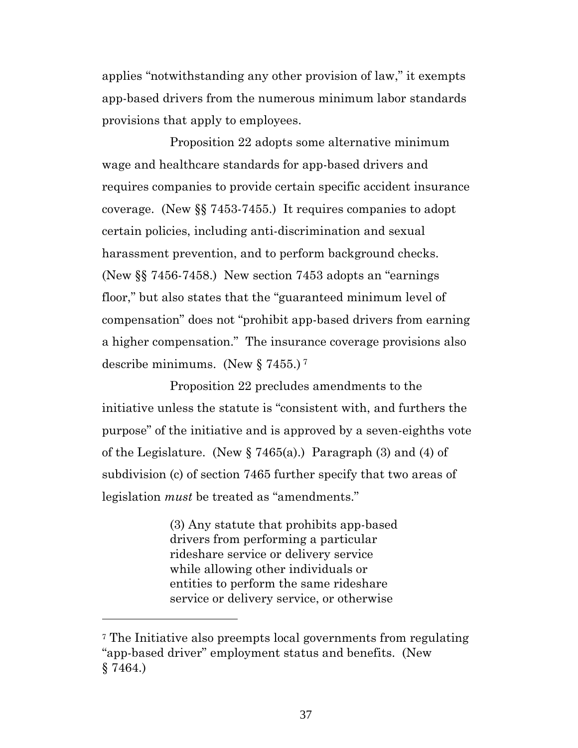applies "notwithstanding any other provision of law," it exempts app-based drivers from the numerous minimum labor standards provisions that apply to employees.

Proposition 22 adopts some alternative minimum wage and healthcare standards for app-based drivers and requires companies to provide certain specific accident insurance coverage. (New §§ 7453-7455.) It requires companies to adopt certain policies, including anti-discrimination and sexual harassment prevention, and to perform background checks. (New §§ 7456-7458.) New section 7453 adopts an "earnings floor," but also states that the "guaranteed minimum level of compensation" does not "prohibit app-based drivers from earning a higher compensation." The insurance coverage provisions also describe minimums. (New § 7455.) <sup>7</sup>

Proposition 22 precludes amendments to the initiative unless the statute is "consistent with, and furthers the purpose" of the initiative and is approved by a seven-eighths vote of the Legislature. (New  $\S 7465(a)$ .) Paragraph (3) and (4) of subdivision (c) of section 7465 further specify that two areas of legislation *must* be treated as "amendments."

> (3) Any statute that prohibits app-based drivers from performing a particular rideshare service or delivery service while allowing other individuals or entities to perform the same rideshare service or delivery service, or otherwise

<sup>7</sup> The Initiative also preempts local governments from regulating "app-based driver" employment status and benefits. (New § 7464.)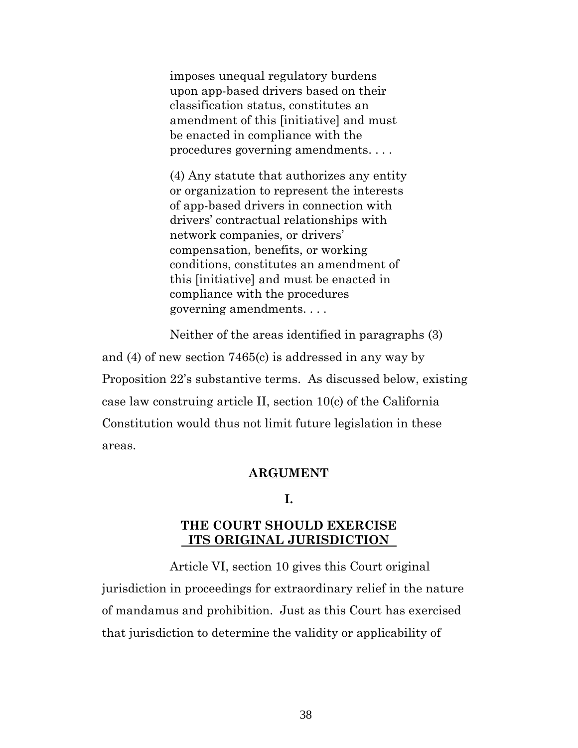imposes unequal regulatory burdens upon app-based drivers based on their classification status, constitutes an amendment of this [initiative] and must be enacted in compliance with the procedures governing amendments. . . .

(4) Any statute that authorizes any entity or organization to represent the interests of app-based drivers in connection with drivers' contractual relationships with network companies, or drivers' compensation, benefits, or working conditions, constitutes an amendment of this [initiative] and must be enacted in compliance with the procedures governing amendments. . . .

Neither of the areas identified in paragraphs (3) and (4) of new section 7465(c) is addressed in any way by Proposition 22's substantive terms. As discussed below, existing case law construing article II, section 10(c) of the California Constitution would thus not limit future legislation in these areas.

#### **ARGUMENT**

## **I.**

# **THE COURT SHOULD EXERCISE ITS ORIGINAL JURISDICTION**

Article VI, section 10 gives this Court original jurisdiction in proceedings for extraordinary relief in the nature of mandamus and prohibition. Just as this Court has exercised that jurisdiction to determine the validity or applicability of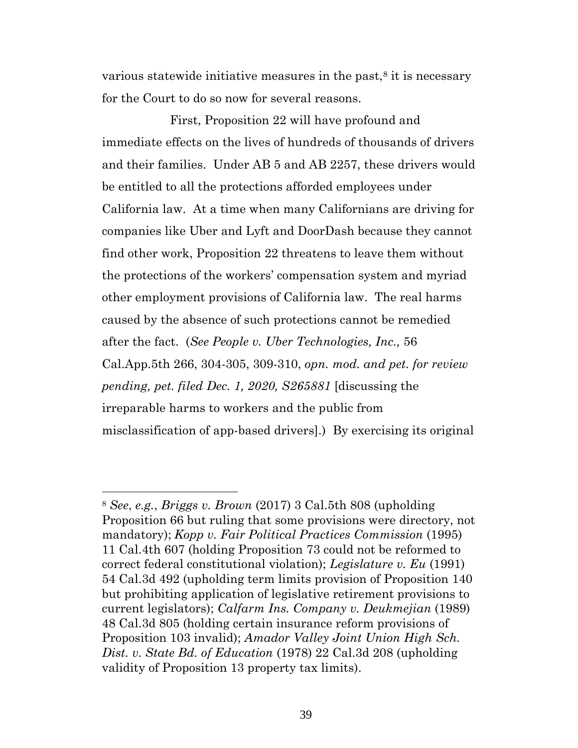various statewide initiative measures in the past, $8$  it is necessary for the Court to do so now for several reasons.

First, Proposition 22 will have profound and immediate effects on the lives of hundreds of thousands of drivers and their families. Under AB 5 and AB 2257, these drivers would be entitled to all the protections afforded employees under California law. At a time when many Californians are driving for companies like Uber and Lyft and DoorDash because they cannot find other work, Proposition 22 threatens to leave them without the protections of the workers' compensation system and myriad other employment provisions of California law. The real harms caused by the absence of such protections cannot be remedied after the fact. (*See People v. Uber Technologies, Inc.,* 56 Cal.App.5th 266, 304-305, 309-310, *opn. mod. and pet. for review pending, pet. filed Dec. 1, 2020, S265881* [discussing the irreparable harms to workers and the public from misclassification of app-based drivers].) By exercising its original

<sup>8</sup> *See*, *e.g.*, *Briggs v. Brown* (2017) 3 Cal.5th 808 (upholding Proposition 66 but ruling that some provisions were directory, not mandatory); *Kopp v. Fair Political Practices Commission* (1995) 11 Cal.4th 607 (holding Proposition 73 could not be reformed to correct federal constitutional violation); *Legislature v. Eu* (1991) 54 Cal.3d 492 (upholding term limits provision of Proposition 140 but prohibiting application of legislative retirement provisions to current legislators); *Calfarm Ins. Company v. Deukmejian* (1989) 48 Cal.3d 805 (holding certain insurance reform provisions of Proposition 103 invalid); *Amador Valley Joint Union High Sch. Dist. v. State Bd. of Education* (1978) 22 Cal.3d 208 (upholding validity of Proposition 13 property tax limits).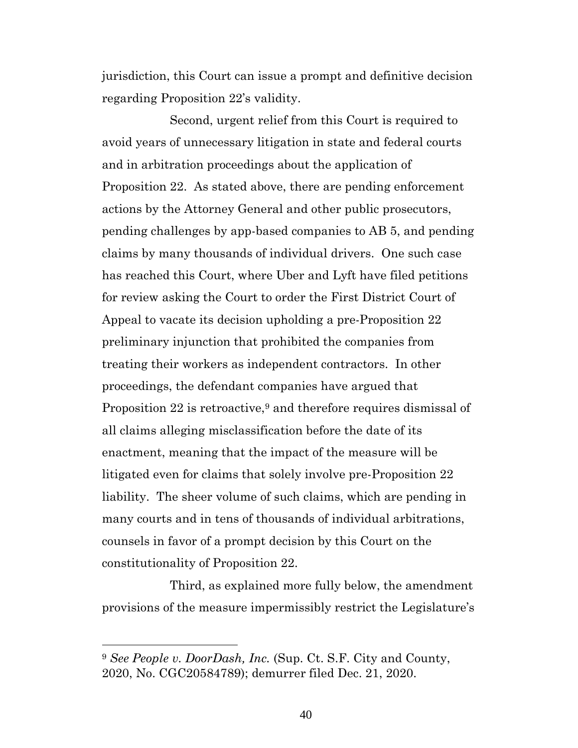jurisdiction, this Court can issue a prompt and definitive decision regarding Proposition 22's validity.

Second, urgent relief from this Court is required to avoid years of unnecessary litigation in state and federal courts and in arbitration proceedings about the application of Proposition 22. As stated above, there are pending enforcement actions by the Attorney General and other public prosecutors, pending challenges by app-based companies to AB 5, and pending claims by many thousands of individual drivers. One such case has reached this Court, where Uber and Lyft have filed petitions for review asking the Court to order the First District Court of Appeal to vacate its decision upholding a pre-Proposition 22 preliminary injunction that prohibited the companies from treating their workers as independent contractors. In other proceedings, the defendant companies have argued that Proposition 22 is retroactive,<sup>9</sup> and therefore requires dismissal of all claims alleging misclassification before the date of its enactment, meaning that the impact of the measure will be litigated even for claims that solely involve pre-Proposition 22 liability. The sheer volume of such claims, which are pending in many courts and in tens of thousands of individual arbitrations, counsels in favor of a prompt decision by this Court on the constitutionality of Proposition 22.

Third, as explained more fully below, the amendment provisions of the measure impermissibly restrict the Legislature's

<sup>9</sup> *See People v. DoorDash, Inc.* (Sup. Ct. S.F. City and County, 2020, No. CGC20584789); demurrer filed Dec. 21, 2020.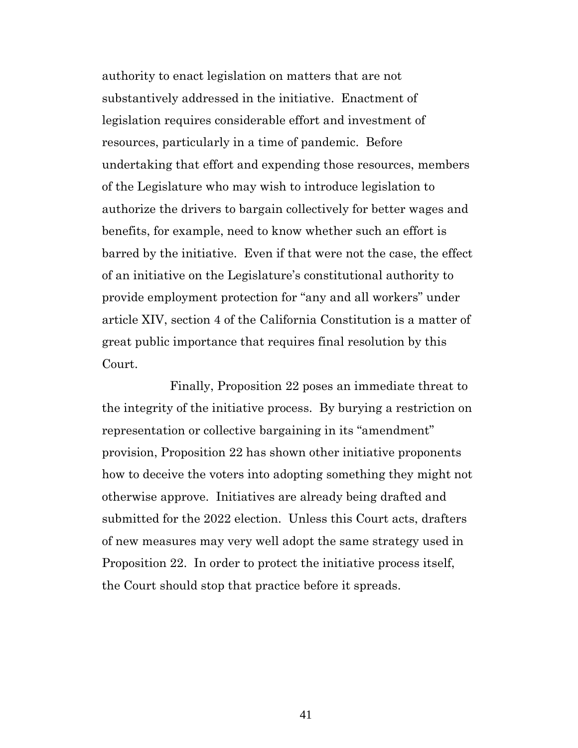authority to enact legislation on matters that are not substantively addressed in the initiative. Enactment of legislation requires considerable effort and investment of resources, particularly in a time of pandemic. Before undertaking that effort and expending those resources, members of the Legislature who may wish to introduce legislation to authorize the drivers to bargain collectively for better wages and benefits, for example, need to know whether such an effort is barred by the initiative. Even if that were not the case, the effect of an initiative on the Legislature's constitutional authority to provide employment protection for "any and all workers" under article XIV, section 4 of the California Constitution is a matter of great public importance that requires final resolution by this Court.

Finally, Proposition 22 poses an immediate threat to the integrity of the initiative process. By burying a restriction on representation or collective bargaining in its "amendment" provision, Proposition 22 has shown other initiative proponents how to deceive the voters into adopting something they might not otherwise approve. Initiatives are already being drafted and submitted for the 2022 election. Unless this Court acts, drafters of new measures may very well adopt the same strategy used in Proposition 22. In order to protect the initiative process itself, the Court should stop that practice before it spreads.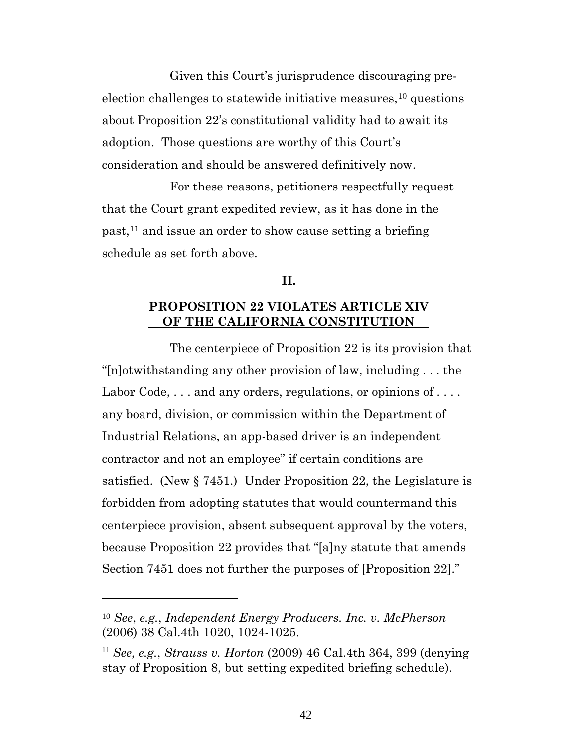Given this Court's jurisprudence discouraging preelection challenges to statewide initiative measures,  $10$  questions about Proposition 22's constitutional validity had to await its adoption. Those questions are worthy of this Court's consideration and should be answered definitively now.

For these reasons, petitioners respectfully request that the Court grant expedited review, as it has done in the past, <sup>11</sup> and issue an order to show cause setting a briefing schedule as set forth above.

### **II.**

## **PROPOSITION 22 VIOLATES ARTICLE XIV OF THE CALIFORNIA CONSTITUTION**

The centerpiece of Proposition 22 is its provision that "[n]otwithstanding any other provision of law, including . . . the Labor Code, ... and any orders, regulations, or opinions of .... any board, division, or commission within the Department of Industrial Relations, an app-based driver is an independent contractor and not an employee" if certain conditions are satisfied. (New § 7451.) Under Proposition 22, the Legislature is forbidden from adopting statutes that would countermand this centerpiece provision, absent subsequent approval by the voters, because Proposition 22 provides that "[a]ny statute that amends Section 7451 does not further the purposes of [Proposition 22]."

<sup>10</sup> *See*, *e.g.*, *Independent Energy Producers. Inc. v. McPherson*  (2006) 38 Cal.4th 1020, 1024-1025.

<sup>11</sup> *See, e.g.*, *Strauss v. Horton* (2009) 46 Cal.4th 364, 399 (denying stay of Proposition 8, but setting expedited briefing schedule).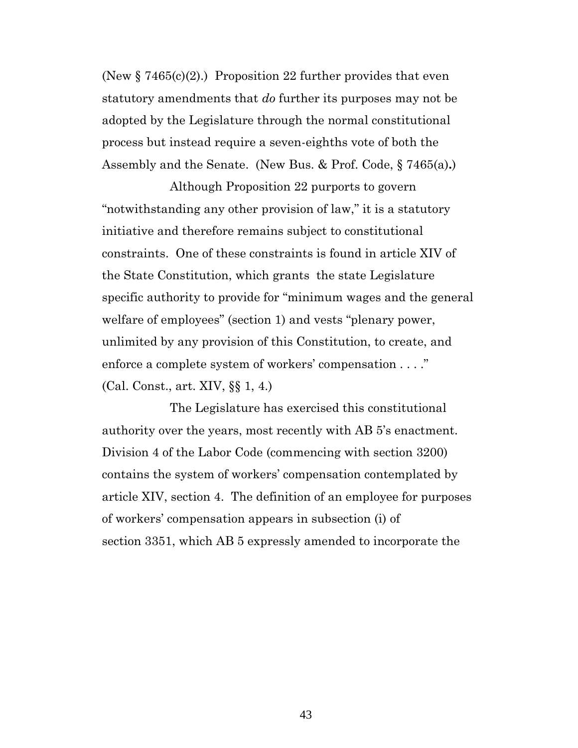(New  $\S 7465(c)(2)$ .) Proposition 22 further provides that even statutory amendments that *do* further its purposes may not be adopted by the Legislature through the normal constitutional process but instead require a seven-eighths vote of both the Assembly and the Senate. (New Bus. & Prof. Code, § 7465(a)**.**)

Although Proposition 22 purports to govern "notwithstanding any other provision of law," it is a statutory initiative and therefore remains subject to constitutional constraints. One of these constraints is found in article XIV of the State Constitution, which grants the state Legislature specific authority to provide for "minimum wages and the general welfare of employees" (section 1) and vests "plenary power, unlimited by any provision of this Constitution, to create, and enforce a complete system of workers' compensation . . . ." (Cal. Const., art. XIV, §§ 1, 4.)

The Legislature has exercised this constitutional authority over the years, most recently with AB 5's enactment. Division 4 of the Labor Code (commencing with section 3200) contains the system of workers' compensation contemplated by article XIV, section 4. The definition of an employee for purposes of workers' compensation appears in subsection (i) of section 3351, which AB 5 expressly amended to incorporate the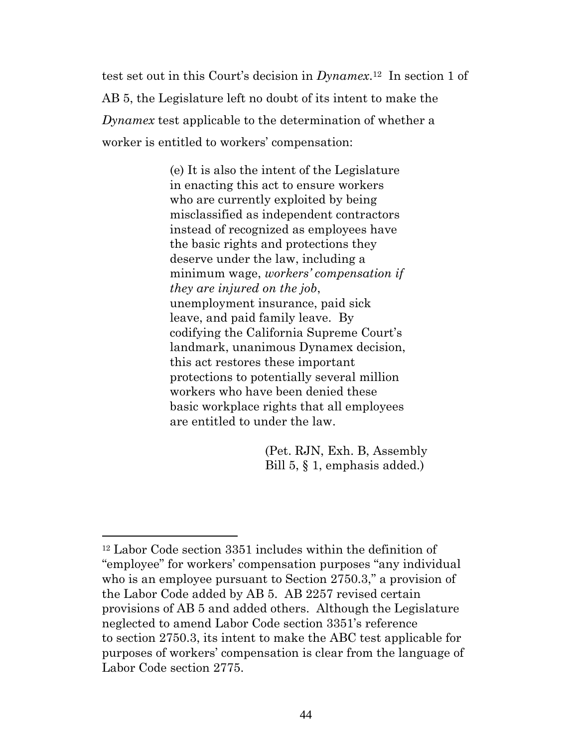test set out in this Court's decision in *Dynamex*. <sup>12</sup>In section 1 of AB 5, the Legislature left no doubt of its intent to make the *Dynamex* test applicable to the determination of whether a worker is entitled to workers' compensation:

> (e) It is also the intent of the Legislature in enacting this act to ensure workers who are currently exploited by being misclassified as independent contractors instead of recognized as employees have the basic rights and protections they deserve under the law, including a minimum wage, *workers' compensation if they are injured on the job*, unemployment insurance, paid sick leave, and paid family leave. By codifying the California Supreme Court's landmark, unanimous Dynamex decision, this act restores these important protections to potentially several million workers who have been denied these basic workplace rights that all employees are entitled to under the law.

> > (Pet. RJN, Exh. B, Assembly Bill 5, § 1, emphasis added.)

<sup>12</sup> Labor Code section 3351 includes within the definition of "employee" for workers' compensation purposes "any individual who is an employee pursuant to Section 2750.3," a provision of the Labor Code added by AB 5. AB 2257 revised certain provisions of AB 5 and added others.Although the Legislature neglected to amend Labor Code section 3351's reference to section 2750.3, its intent to make the ABC test applicable for purposes of workers' compensation is clear from the language of Labor Code section 2775.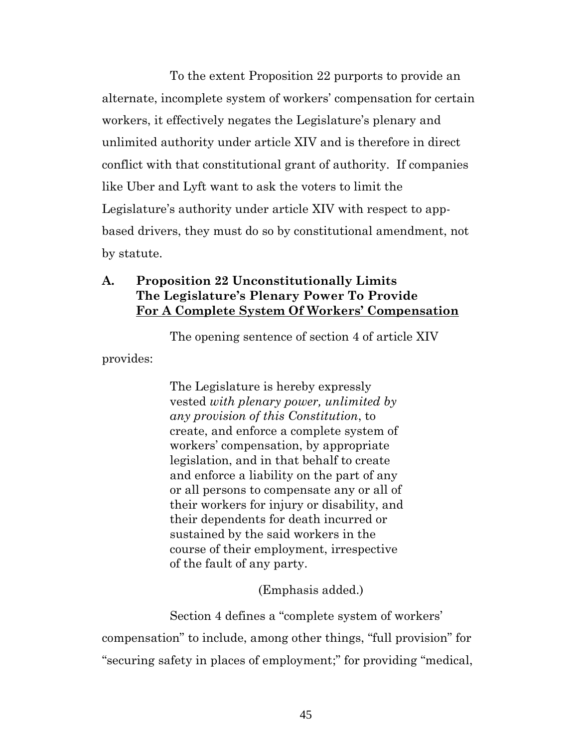To the extent Proposition 22 purports to provide an alternate, incomplete system of workers' compensation for certain workers, it effectively negates the Legislature's plenary and unlimited authority under article XIV and is therefore in direct conflict with that constitutional grant of authority. If companies like Uber and Lyft want to ask the voters to limit the Legislature's authority under article XIV with respect to appbased drivers, they must do so by constitutional amendment, not by statute.

# **A. Proposition 22 Unconstitutionally Limits The Legislature's Plenary Power To Provide For A Complete System Of Workers' Compensation**

The opening sentence of section 4 of article XIV provides:

> The Legislature is hereby expressly vested *with plenary power, unlimited by any provision of this Constitution*, to create, and enforce a complete system of workers' compensation, by appropriate legislation, and in that behalf to create and enforce a liability on the part of any or all persons to compensate any or all of their workers for injury or disability, and their dependents for death incurred or sustained by the said workers in the course of their employment, irrespective of the fault of any party.

> > (Emphasis added.)

Section 4 defines a "complete system of workers' compensation" to include, among other things, "full provision" for "securing safety in places of employment;" for providing "medical,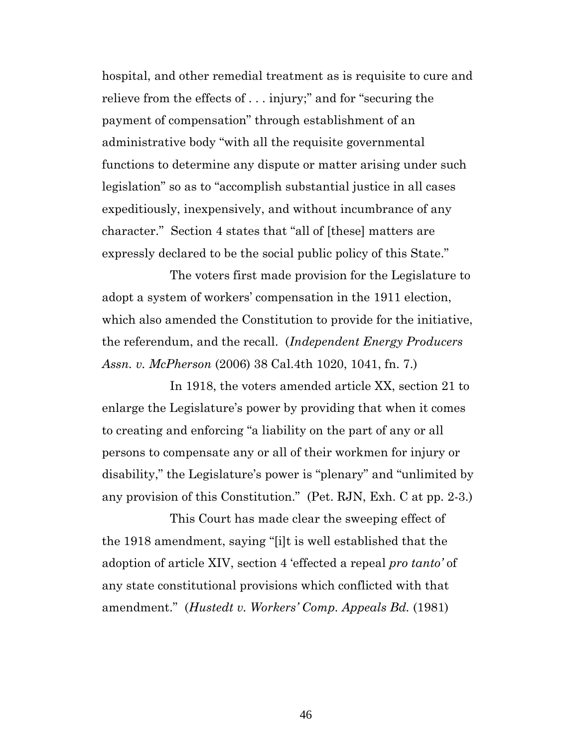hospital, and other remedial treatment as is requisite to cure and relieve from the effects of . . . injury;" and for "securing the payment of compensation" through establishment of an administrative body "with all the requisite governmental functions to determine any dispute or matter arising under such legislation" so as to "accomplish substantial justice in all cases expeditiously, inexpensively, and without incumbrance of any character." Section 4 states that "all of [these] matters are expressly declared to be the social public policy of this State."

The voters first made provision for the Legislature to adopt a system of workers' compensation in the 1911 election, which also amended the Constitution to provide for the initiative, the referendum, and the recall. (*Independent Energy Producers Assn. v. McPherson* (2006) 38 Cal.4th 1020, 1041, fn. 7.)

In 1918, the voters amended article XX, section 21 to enlarge the Legislature's power by providing that when it comes to creating and enforcing "a liability on the part of any or all persons to compensate any or all of their workmen for injury or disability," the Legislature's power is "plenary" and "unlimited by any provision of this Constitution." (Pet. RJN, Exh. C at pp. 2-3.)

This Court has made clear the sweeping effect of the 1918 amendment, saying "[i]t is well established that the adoption of article XIV, section 4 'effected a repeal *pro tanto'* of any state constitutional provisions which conflicted with that amendment." (*Hustedt v. Workers' Comp. Appeals Bd.* (1981)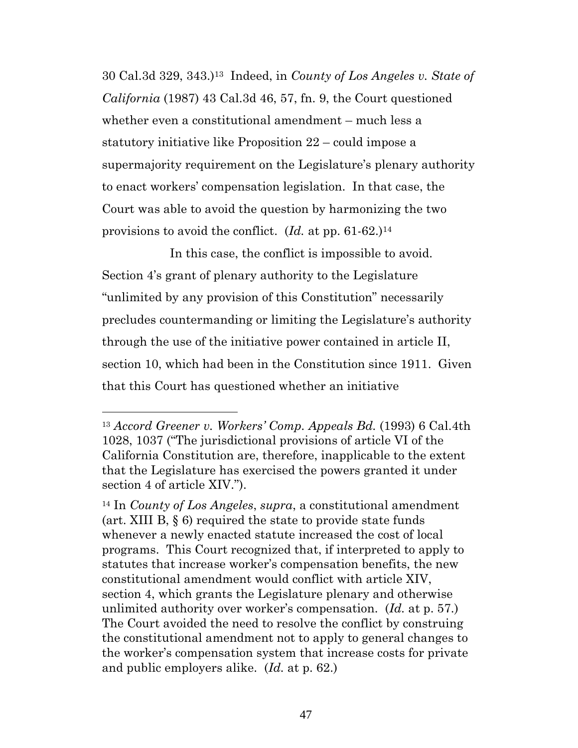30 Cal.3d 329, 343.)13 Indeed, in *County of Los Angeles v. State of California* (1987) 43 Cal.3d 46, 57, fn. 9, the Court questioned whether even a constitutional amendment – much less a statutory initiative like Proposition 22 – could impose a supermajority requirement on the Legislature's plenary authority to enact workers' compensation legislation. In that case, the Court was able to avoid the question by harmonizing the two provisions to avoid the conflict. (*Id.* at pp. 61-62.)<sup>14</sup>

In this case, the conflict is impossible to avoid. Section 4's grant of plenary authority to the Legislature "unlimited by any provision of this Constitution" necessarily precludes countermanding or limiting the Legislature's authority through the use of the initiative power contained in article II, section 10, which had been in the Constitution since 1911. Given that this Court has questioned whether an initiative

<sup>13</sup> *Accord Greener v. Workers' Comp. Appeals Bd.* (1993) 6 Cal.4th 1028, 1037 ("The jurisdictional provisions of article VI of the California Constitution are, therefore, inapplicable to the extent that the Legislature has exercised the powers granted it under section 4 of article XIV.").

<sup>14</sup> In *County of Los Angeles*, *supra*, a constitutional amendment (art. XIII B, § 6) required the state to provide state funds whenever a newly enacted statute increased the cost of local programs. This Court recognized that, if interpreted to apply to statutes that increase worker's compensation benefits, the new constitutional amendment would conflict with article XIV, section 4, which grants the Legislature plenary and otherwise unlimited authority over worker's compensation. (*Id.* at p. 57.) The Court avoided the need to resolve the conflict by construing the constitutional amendment not to apply to general changes to the worker's compensation system that increase costs for private and public employers alike. (*Id.* at p. 62.)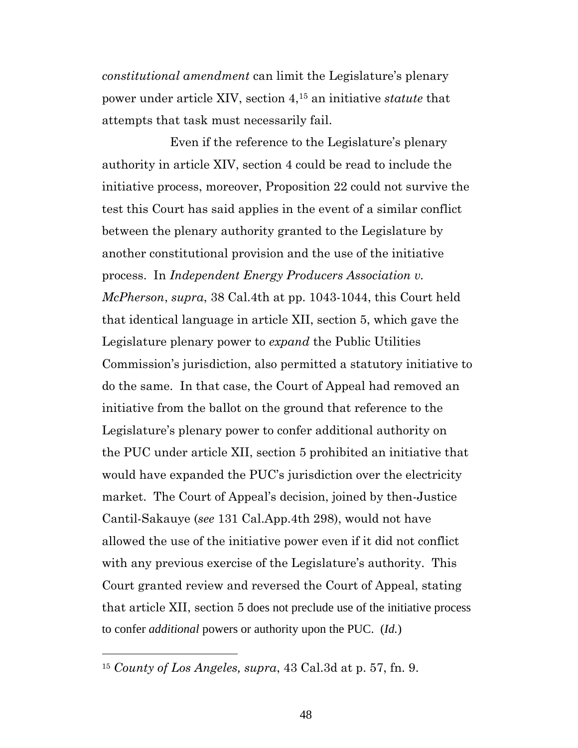*constitutional amendment* can limit the Legislature's plenary power under article XIV, section 4,<sup>15</sup> an initiative *statute* that attempts that task must necessarily fail.

Even if the reference to the Legislature's plenary authority in article XIV, section 4 could be read to include the initiative process, moreover, Proposition 22 could not survive the test this Court has said applies in the event of a similar conflict between the plenary authority granted to the Legislature by another constitutional provision and the use of the initiative process. In *Independent Energy Producers Association v. McPherson*, *supra*, 38 Cal.4th at pp. 1043-1044, this Court held that identical language in article XII, section 5, which gave the Legislature plenary power to *expand* the Public Utilities Commission's jurisdiction, also permitted a statutory initiative to do the same. In that case, the Court of Appeal had removed an initiative from the ballot on the ground that reference to the Legislature's plenary power to confer additional authority on the PUC under article XII, section 5 prohibited an initiative that would have expanded the PUC's jurisdiction over the electricity market. The Court of Appeal's decision, joined by then-Justice Cantil-Sakauye (*see* 131 Cal.App.4th 298), would not have allowed the use of the initiative power even if it did not conflict with any previous exercise of the Legislature's authority. This Court granted review and reversed the Court of Appeal, stating that article XII, section 5 does not preclude use of the initiative process to confer *additional* powers or authority upon the PUC. (*Id.*)

<sup>15</sup> *County of Los Angeles, supra*, 43 Cal.3d at p. 57, fn. 9.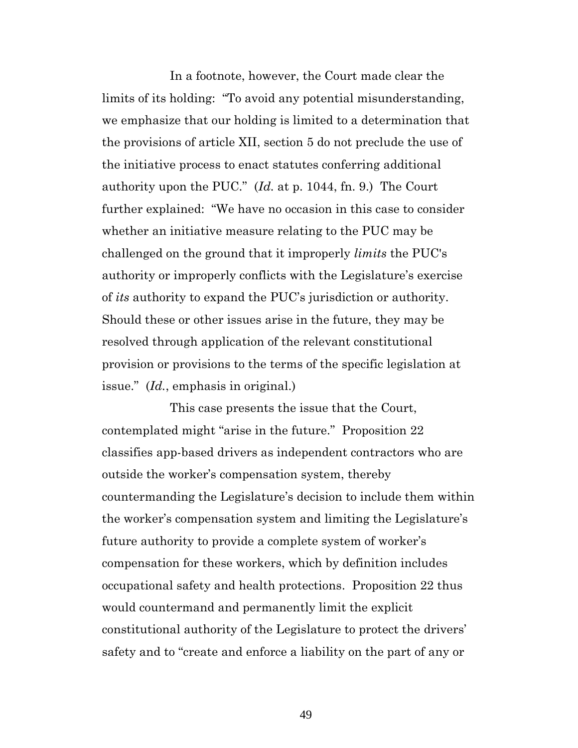In a footnote, however, the Court made clear the limits of its holding: "To avoid any potential misunderstanding, we emphasize that our holding is limited to a determination that the provisions of article XII, section 5 do not preclude the use of the initiative process to enact statutes conferring additional authority upon the PUC." (*Id.* at p. 1044, fn. 9.) The Court further explained: "We have no occasion in this case to consider whether an initiative measure relating to the PUC may be challenged on the ground that it improperly *limits* the PUC's authority or improperly conflicts with the Legislature's exercise of *its* authority to expand the PUC's jurisdiction or authority. Should these or other issues arise in the future, they may be resolved through application of the relevant constitutional provision or provisions to the terms of the specific legislation at issue." (*Id.*, emphasis in original.)

This case presents the issue that the Court, contemplated might "arise in the future." Proposition 22 classifies app-based drivers as independent contractors who are outside the worker's compensation system, thereby countermanding the Legislature's decision to include them within the worker's compensation system and limiting the Legislature's future authority to provide a complete system of worker's compensation for these workers, which by definition includes occupational safety and health protections. Proposition 22 thus would countermand and permanently limit the explicit constitutional authority of the Legislature to protect the drivers' safety and to "create and enforce a liability on the part of any or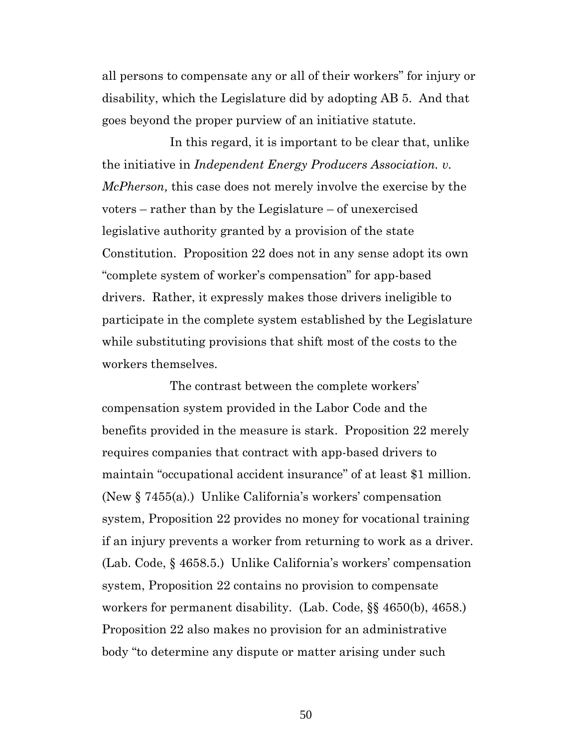all persons to compensate any or all of their workers" for injury or disability, which the Legislature did by adopting AB 5. And that goes beyond the proper purview of an initiative statute.

In this regard, it is important to be clear that, unlike the initiative in *Independent Energy Producers Association. v. McPherson,* this case does not merely involve the exercise by the voters – rather than by the Legislature – of unexercised legislative authority granted by a provision of the state Constitution. Proposition 22 does not in any sense adopt its own "complete system of worker's compensation" for app-based drivers. Rather, it expressly makes those drivers ineligible to participate in the complete system established by the Legislature while substituting provisions that shift most of the costs to the workers themselves.

The contrast between the complete workers' compensation system provided in the Labor Code and the benefits provided in the measure is stark. Proposition 22 merely requires companies that contract with app-based drivers to maintain "occupational accident insurance" of at least \$1 million. (New § 7455(a).) Unlike California's workers' compensation system, Proposition 22 provides no money for vocational training if an injury prevents a worker from returning to work as a driver. (Lab. Code, § 4658.5.) Unlike California's workers' compensation system, Proposition 22 contains no provision to compensate workers for permanent disability. (Lab. Code, §§ 4650(b), 4658.) Proposition 22 also makes no provision for an administrative body "to determine any dispute or matter arising under such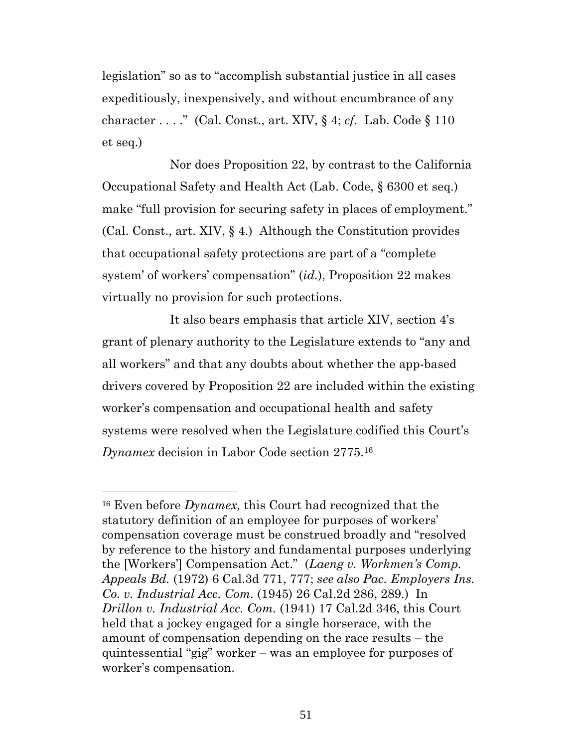legislation" so as to "accomplish substantial justice in all cases expeditiously, inexpensively, and without encumbrance of any character . . . ." (Cal. Const., art. XIV, § 4; *cf.* Lab. Code § 110 et seq.)

Nor does Proposition 22, by contrast to the California Occupational Safety and Health Act (Lab. Code, § 6300 et seq.) make "full provision for securing safety in places of employment." (Cal. Const., art. XIV, § 4.) Although the Constitution provides that occupational safety protections are part of a "complete system' of workers' compensation" (*id.*), Proposition 22 makes virtually no provision for such protections.

It also bears emphasis that article XIV, section 4's grant of plenary authority to the Legislature extends to "any and all workers" and that any doubts about whether the app-based drivers covered by Proposition 22 are included within the existing worker's compensation and occupational health and safety systems were resolved when the Legislature codified this Court's *Dynamex* decision in Labor Code section 2775.<sup>16</sup>

<sup>16</sup> Even before *Dynamex,* this Court had recognized that the statutory definition of an employee for purposes of workers' compensation coverage must be construed broadly and "resolved by reference to the history and fundamental purposes underlying the [Workers'] Compensation Act." (*Laeng v. Workmen's Comp. Appeals Bd.* (1972) 6 Cal.3d 771, 777; *see also Pac. Employers Ins. Co. v. Industrial Acc. Com.* (1945) 26 Cal.2d 286, 289.) In *Drillon v. Industrial Acc. Com.* (1941) 17 Cal.2d 346, this Court held that a jockey engaged for a single horserace, with the amount of compensation depending on the race results – the quintessential "gig" worker – was an employee for purposes of worker's compensation.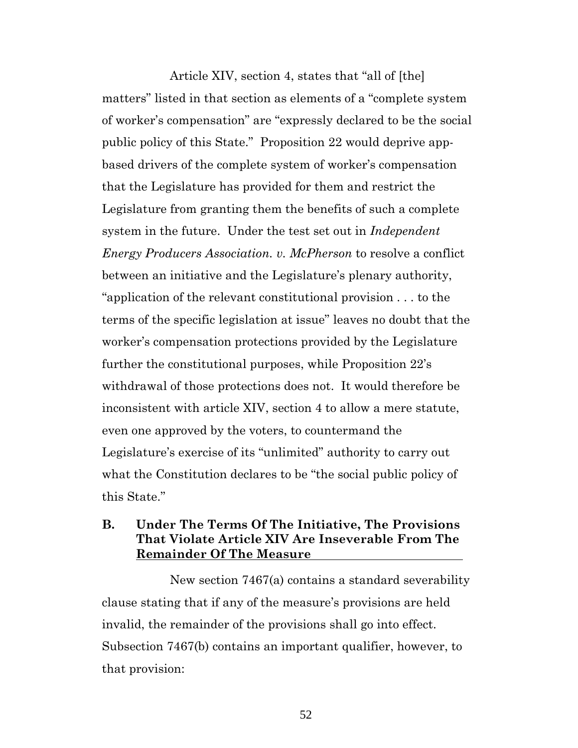Article XIV, section 4, states that "all of [the] matters" listed in that section as elements of a "complete system of worker's compensation" are "expressly declared to be the social public policy of this State." Proposition 22 would deprive appbased drivers of the complete system of worker's compensation that the Legislature has provided for them and restrict the Legislature from granting them the benefits of such a complete system in the future. Under the test set out in *Independent Energy Producers Association. v. McPherson* to resolve a conflict between an initiative and the Legislature's plenary authority, "application of the relevant constitutional provision . . . to the terms of the specific legislation at issue" leaves no doubt that the worker's compensation protections provided by the Legislature further the constitutional purposes, while Proposition 22's withdrawal of those protections does not. It would therefore be inconsistent with article XIV, section 4 to allow a mere statute, even one approved by the voters, to countermand the Legislature's exercise of its "unlimited" authority to carry out what the Constitution declares to be "the social public policy of this State."

## **B. Under The Terms Of The Initiative, The Provisions That Violate Article XIV Are Inseverable From The Remainder Of The Measure**

New section 7467(a) contains a standard severability clause stating that if any of the measure's provisions are held invalid, the remainder of the provisions shall go into effect. Subsection 7467(b) contains an important qualifier, however, to that provision: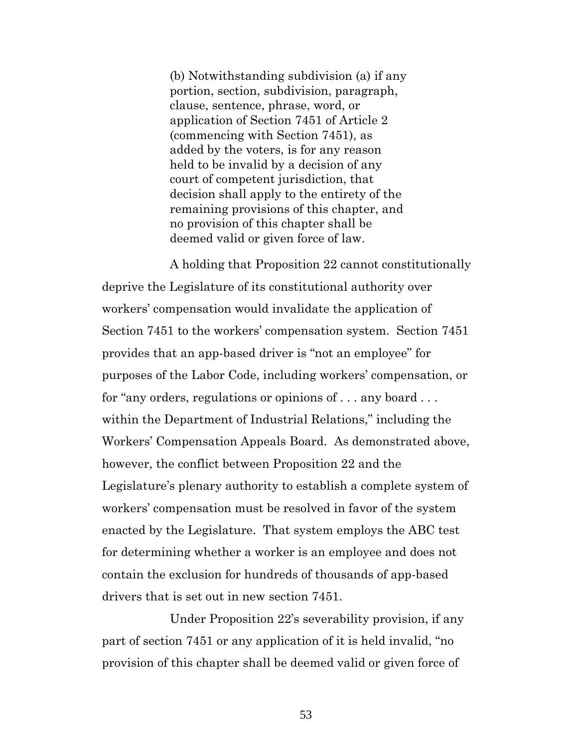(b) Notwithstanding subdivision (a) if any portion, section, subdivision, paragraph, clause, sentence, phrase, word, or application of Section 7451 of Article 2 (commencing with Section 7451), as added by the voters, is for any reason held to be invalid by a decision of any court of competent jurisdiction, that decision shall apply to the entirety of the remaining provisions of this chapter, and no provision of this chapter shall be deemed valid or given force of law.

A holding that Proposition 22 cannot constitutionally deprive the Legislature of its constitutional authority over workers' compensation would invalidate the application of Section 7451 to the workers' compensation system. Section 7451 provides that an app-based driver is "not an employee" for purposes of the Labor Code, including workers' compensation, or for "any orders, regulations or opinions of . . . any board . . . within the Department of Industrial Relations," including the Workers' Compensation Appeals Board. As demonstrated above, however, the conflict between Proposition 22 and the Legislature's plenary authority to establish a complete system of workers' compensation must be resolved in favor of the system enacted by the Legislature. That system employs the ABC test for determining whether a worker is an employee and does not contain the exclusion for hundreds of thousands of app-based drivers that is set out in new section 7451.

Under Proposition 22's severability provision, if any part of section 7451 or any application of it is held invalid, "no provision of this chapter shall be deemed valid or given force of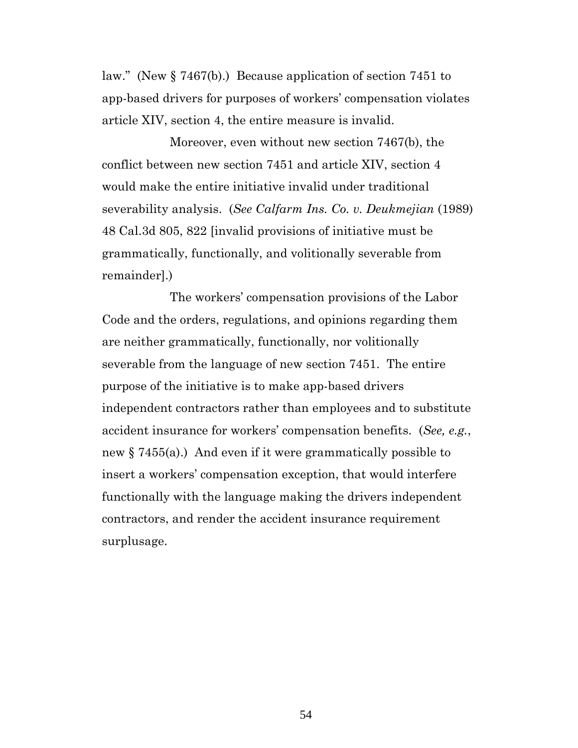law." (New § 7467(b).) Because application of section 7451 to app-based drivers for purposes of workers' compensation violates article XIV, section 4, the entire measure is invalid.

Moreover, even without new section 7467(b), the conflict between new section 7451 and article XIV, section 4 would make the entire initiative invalid under traditional severability analysis. (*See Calfarm Ins. Co. v. Deukmejian* (1989) 48 Cal.3d 805, 822 [invalid provisions of initiative must be grammatically, functionally, and volitionally severable from remainder].)

The workers' compensation provisions of the Labor Code and the orders, regulations, and opinions regarding them are neither grammatically, functionally, nor volitionally severable from the language of new section 7451. The entire purpose of the initiative is to make app-based drivers independent contractors rather than employees and to substitute accident insurance for workers' compensation benefits. (*See, e.g.*, new § 7455(a).) And even if it were grammatically possible to insert a workers' compensation exception, that would interfere functionally with the language making the drivers independent contractors, and render the accident insurance requirement surplusage.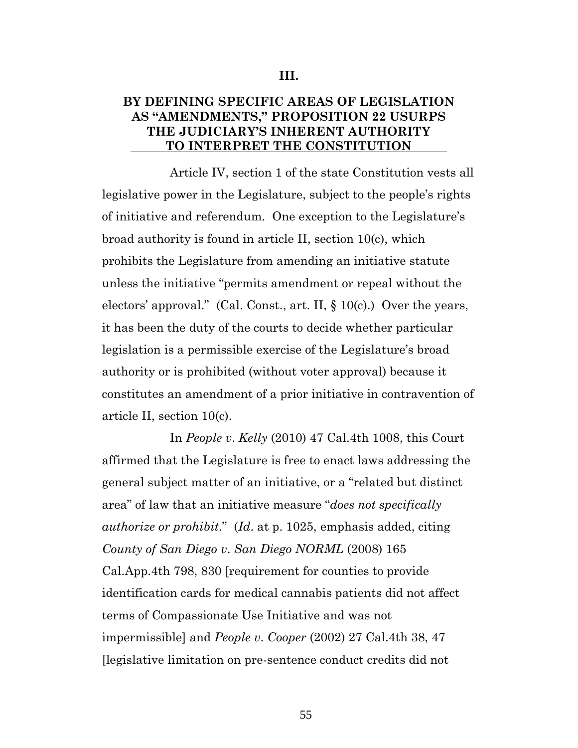## **BY DEFINING SPECIFIC AREAS OF LEGISLATION AS "AMENDMENTS," PROPOSITION 22 USURPS THE JUDICIARY'S INHERENT AUTHORITY TO INTERPRET THE CONSTITUTION**

Article IV, section 1 of the state Constitution vests all legislative power in the Legislature, subject to the people's rights of initiative and referendum. One exception to the Legislature's broad authority is found in article II, section 10(c), which prohibits the Legislature from amending an initiative statute unless the initiative "permits amendment or repeal without the electors' approval." (Cal. Const., art. II,  $\S 10(c)$ .) Over the years, it has been the duty of the courts to decide whether particular legislation is a permissible exercise of the Legislature's broad authority or is prohibited (without voter approval) because it constitutes an amendment of a prior initiative in contravention of article II, section 10(c).

In *People v*. *Kelly* (2010) 47 Cal.4th 1008, this Court affirmed that the Legislature is free to enact laws addressing the general subject matter of an initiative, or a "related but distinct area" of law that an initiative measure "*does not specifically authorize or prohibit*." (*Id*. at p. 1025, emphasis added, citing *County of San Diego v*. *San Diego NORML* (2008) 165 Cal.App.4th 798, 830 [requirement for counties to provide identification cards for medical cannabis patients did not affect terms of Compassionate Use Initiative and was not impermissible] and *People v*. *Cooper* (2002) 27 Cal.4th 38, 47 [legislative limitation on pre-sentence conduct credits did not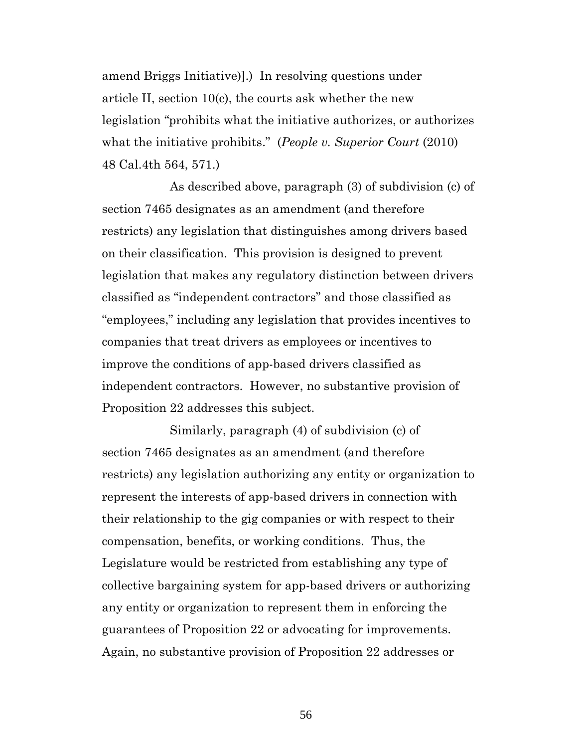amend Briggs Initiative)].) In resolving questions under article II, section 10(c), the courts ask whether the new legislation "prohibits what the initiative authorizes, or authorizes what the initiative prohibits." (*People v. Superior Court* (2010) 48 Cal.4th 564, 571.)

As described above, paragraph (3) of subdivision (c) of section 7465 designates as an amendment (and therefore restricts) any legislation that distinguishes among drivers based on their classification. This provision is designed to prevent legislation that makes any regulatory distinction between drivers classified as "independent contractors" and those classified as "employees," including any legislation that provides incentives to companies that treat drivers as employees or incentives to improve the conditions of app-based drivers classified as independent contractors. However, no substantive provision of Proposition 22 addresses this subject.

Similarly, paragraph (4) of subdivision (c) of section 7465 designates as an amendment (and therefore restricts) any legislation authorizing any entity or organization to represent the interests of app-based drivers in connection with their relationship to the gig companies or with respect to their compensation, benefits, or working conditions. Thus, the Legislature would be restricted from establishing any type of collective bargaining system for app-based drivers or authorizing any entity or organization to represent them in enforcing the guarantees of Proposition 22 or advocating for improvements. Again, no substantive provision of Proposition 22 addresses or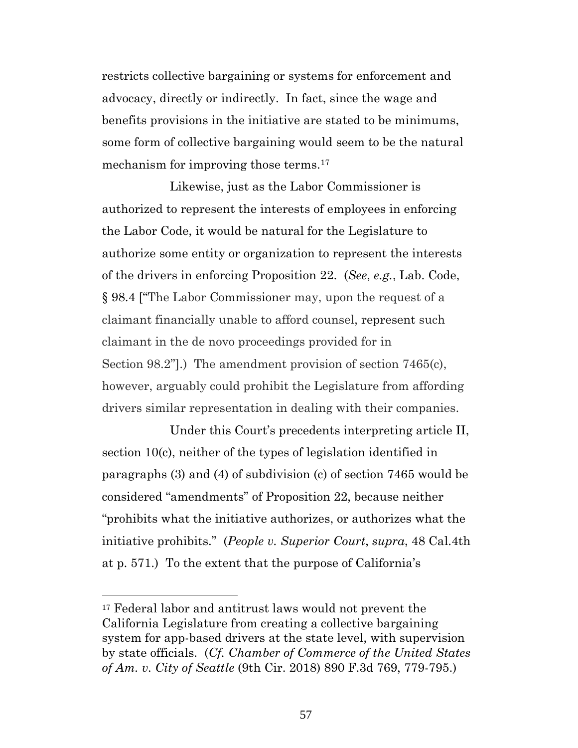restricts collective bargaining or systems for enforcement and advocacy, directly or indirectly. In fact, since the wage and benefits provisions in the initiative are stated to be minimums, some form of collective bargaining would seem to be the natural mechanism for improving those terms.<sup>17</sup>

Likewise, just as the Labor Commissioner is authorized to represent the interests of employees in enforcing the Labor Code, it would be natural for the Legislature to authorize some entity or organization to represent the interests of the drivers in enforcing Proposition 22. (*See*, *e.g.*, Lab. Code, § 98.4 ["The Labor Commissioner may, upon the request of a claimant financially unable to afford counsel, represent such claimant in the de novo proceedings provided for in Section 98.2"].) The amendment provision of section 7465(c), however, arguably could prohibit the Legislature from affording drivers similar representation in dealing with their companies.

Under this Court's precedents interpreting article II, section 10(c), neither of the types of legislation identified in paragraphs (3) and (4) of subdivision (c) of section 7465 would be considered "amendments" of Proposition 22, because neither "prohibits what the initiative authorizes, or authorizes what the initiative prohibits." (*People v. Superior Court*, *supra*, 48 Cal.4th at p. 571.) To the extent that the purpose of California's

<sup>17</sup> Federal labor and antitrust laws would not prevent the California Legislature from creating a collective bargaining system for app-based drivers at the state level, with supervision by state officials. (*Cf. Chamber of Commerce of the United States of Am. v. City of Seattle* (9th Cir. 2018) 890 F.3d 769, 779-795.)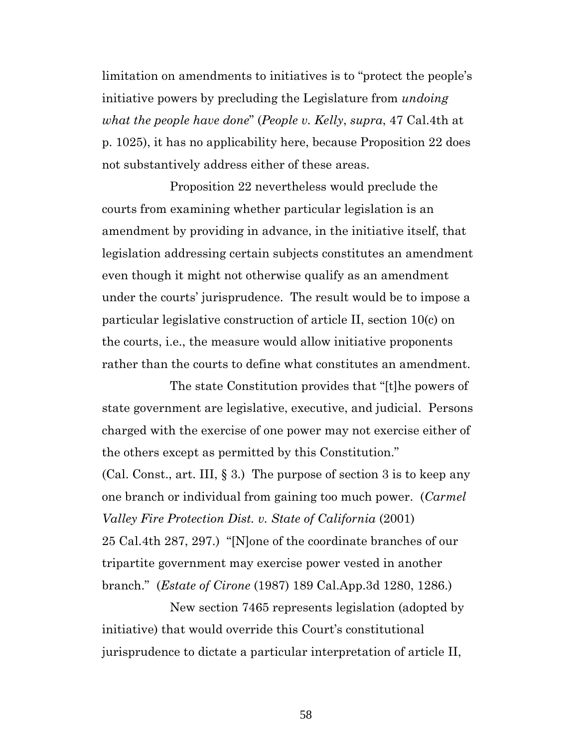limitation on amendments to initiatives is to "protect the people's initiative powers by precluding the Legislature from *undoing what the people have done*" (*People v. Kelly*, *supra*, 47 Cal.4th at p. 1025), it has no applicability here, because Proposition 22 does not substantively address either of these areas.

Proposition 22 nevertheless would preclude the courts from examining whether particular legislation is an amendment by providing in advance, in the initiative itself, that legislation addressing certain subjects constitutes an amendment even though it might not otherwise qualify as an amendment under the courts' jurisprudence. The result would be to impose a particular legislative construction of article II, section 10(c) on the courts, i.e., the measure would allow initiative proponents rather than the courts to define what constitutes an amendment.

The state Constitution provides that "[t]he powers of state government are legislative, executive, and judicial. Persons charged with the exercise of one power may not exercise either of the others except as permitted by this Constitution."

(Cal. Const., art. III, § 3.) The purpose of section 3 is to keep any one branch or individual from gaining too much power. (*Carmel Valley Fire Protection Dist. v. State of California* (2001) 25 Cal.4th 287, 297.) "[N]one of the coordinate branches of our tripartite government may exercise power vested in another branch." (*Estate of Cirone* (1987) 189 Cal.App.3d 1280, 1286.)

New section 7465 represents legislation (adopted by initiative) that would override this Court's constitutional jurisprudence to dictate a particular interpretation of article II,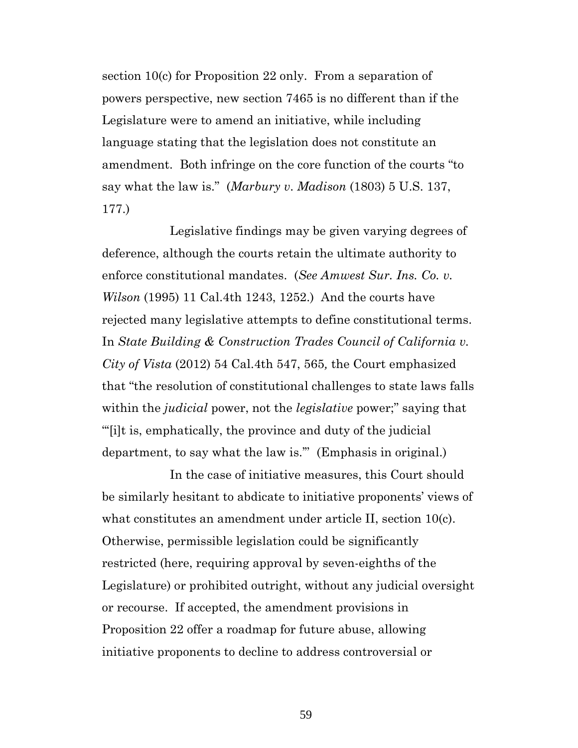section 10(c) for Proposition 22 only. From a separation of powers perspective, new section 7465 is no different than if the Legislature were to amend an initiative, while including language stating that the legislation does not constitute an amendment. Both infringe on the core function of the courts "to say what the law is." (*Marbury v*. *Madison* (1803) 5 U.S. 137, 177.)

Legislative findings may be given varying degrees of deference, although the courts retain the ultimate authority to enforce constitutional mandates. (*See Amwest Sur. Ins. Co. v. Wilson* (1995) 11 Cal.4th 1243, 1252.) And the courts have rejected many legislative attempts to define constitutional terms. In *State Building & Construction Trades Council of California v. City of Vista* (2012) 54 Cal.4th 547, 565*,* the Court emphasized that "the resolution of constitutional challenges to state laws falls within the *judicial* power, not the *legislative* power;" saying that "'[i]t is, emphatically, the province and duty of the judicial department, to say what the law is.'" (Emphasis in original.)

In the case of initiative measures, this Court should be similarly hesitant to abdicate to initiative proponents' views of what constitutes an amendment under article II, section 10(c). Otherwise, permissible legislation could be significantly restricted (here, requiring approval by seven-eighths of the Legislature) or prohibited outright, without any judicial oversight or recourse. If accepted, the amendment provisions in Proposition 22 offer a roadmap for future abuse, allowing initiative proponents to decline to address controversial or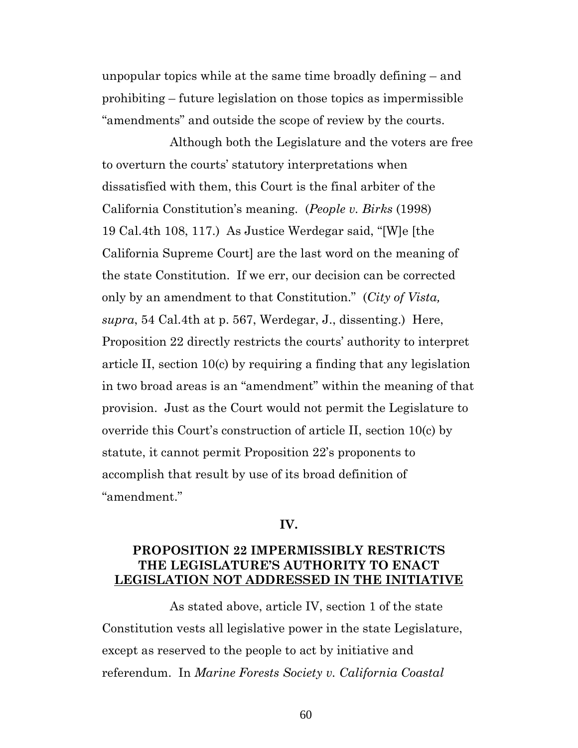unpopular topics while at the same time broadly defining – and prohibiting – future legislation on those topics as impermissible "amendments" and outside the scope of review by the courts.

Although both the Legislature and the voters are free to overturn the courts' statutory interpretations when dissatisfied with them, this Court is the final arbiter of the California Constitution's meaning. (*People v. Birks* (1998) 19 Cal.4th 108, 117.) As Justice Werdegar said, "[W]e [the California Supreme Court] are the last word on the meaning of the state Constitution. If we err, our decision can be corrected only by an amendment to that Constitution." (*City of Vista, supra*, 54 Cal.4th at p. 567, Werdegar, J., dissenting.) Here, Proposition 22 directly restricts the courts' authority to interpret article II, section 10(c) by requiring a finding that any legislation in two broad areas is an "amendment" within the meaning of that provision. Just as the Court would not permit the Legislature to override this Court's construction of article II, section 10(c) by statute, it cannot permit Proposition 22's proponents to accomplish that result by use of its broad definition of "amendment."

#### **IV.**

### **PROPOSITION 22 IMPERMISSIBLY RESTRICTS THE LEGISLATURE'S AUTHORITY TO ENACT LEGISLATION NOT ADDRESSED IN THE INITIATIVE**

As stated above, article IV, section 1 of the state Constitution vests all legislative power in the state Legislature, except as reserved to the people to act by initiative and referendum. In *Marine Forests Society v. California Coastal*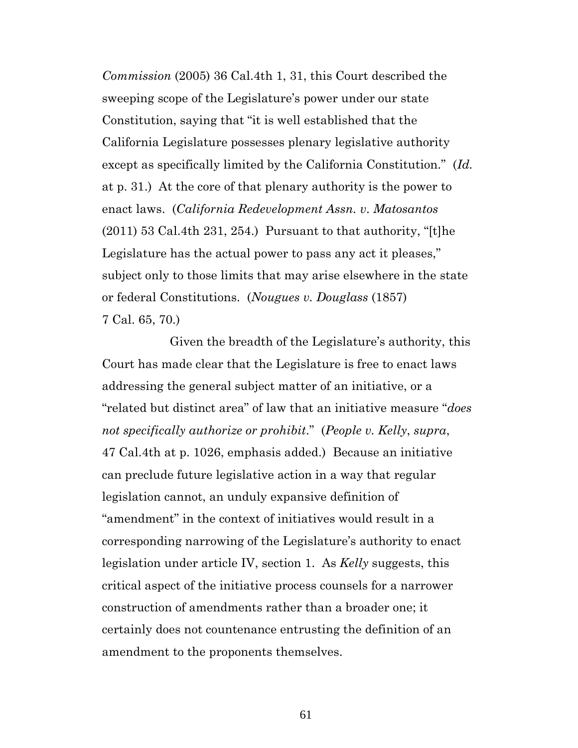*Commission* (2005) 36 Cal.4th 1, 31, this Court described the sweeping scope of the Legislature's power under our state Constitution, saying that "it is well established that the California Legislature possesses plenary legislative authority except as specifically limited by the California Constitution." (*Id.* at p. 31.) At the core of that plenary authority is the power to enact laws. (*California Redevelopment Assn. v*. *Matosantos*  $(2011)$  53 Cal.4th 231, 254.) Pursuant to that authority, "[t]he Legislature has the actual power to pass any act it pleases," subject only to those limits that may arise elsewhere in the state or federal Constitutions. (*Nougues v. Douglass* (1857) 7 Cal. 65, 70.)

Given the breadth of the Legislature's authority, this Court has made clear that the Legislature is free to enact laws addressing the general subject matter of an initiative, or a "related but distinct area" of law that an initiative measure "*does not specifically authorize or prohibit*." (*People v. Kelly*, *supra*, 47 Cal.4th at p. 1026, emphasis added.) Because an initiative can preclude future legislative action in a way that regular legislation cannot, an unduly expansive definition of "amendment" in the context of initiatives would result in a corresponding narrowing of the Legislature's authority to enact legislation under article IV, section 1. As *Kelly* suggests, this critical aspect of the initiative process counsels for a narrower construction of amendments rather than a broader one; it certainly does not countenance entrusting the definition of an amendment to the proponents themselves.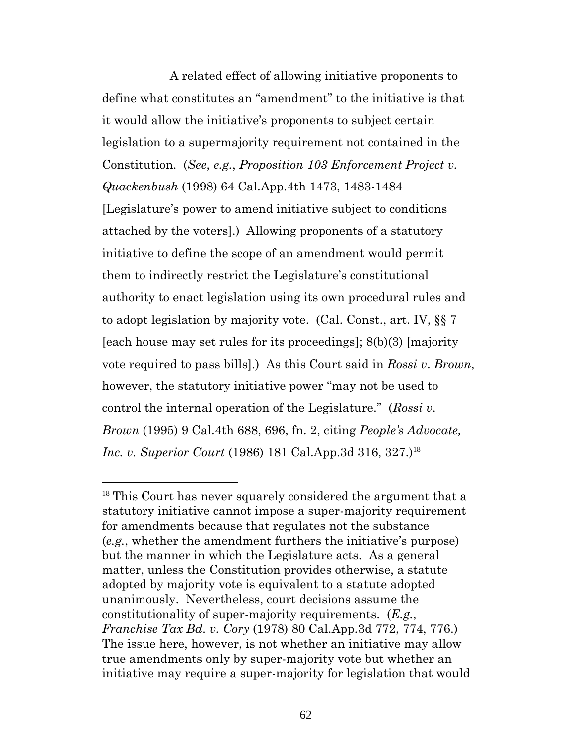A related effect of allowing initiative proponents to define what constitutes an "amendment" to the initiative is that it would allow the initiative's proponents to subject certain legislation to a supermajority requirement not contained in the Constitution. (*See*, *e.g.*, *Proposition 103 Enforcement Project v. Quackenbush* (1998) 64 Cal.App.4th 1473, 1483-1484 [Legislature's power to amend initiative subject to conditions attached by the voters].) Allowing proponents of a statutory initiative to define the scope of an amendment would permit them to indirectly restrict the Legislature's constitutional authority to enact legislation using its own procedural rules and to adopt legislation by majority vote. (Cal. Const., art. IV, §§ 7 [each house may set rules for its proceedings]; 8(b)(3) [majority vote required to pass bills].) As this Court said in *Rossi v*. *Brown*, however, the statutory initiative power "may not be used to control the internal operation of the Legislature." (*Rossi v*. *Brown* (1995) 9 Cal.4th 688, 696, fn. 2, citing *People's Advocate, Inc. v. Superior Court* (1986) 181 Cal.App.3d 316, 327.)<sup>18</sup>

<sup>&</sup>lt;sup>18</sup> This Court has never squarely considered the argument that a statutory initiative cannot impose a super-majority requirement for amendments because that regulates not the substance (*e.g.*, whether the amendment furthers the initiative's purpose) but the manner in which the Legislature acts. As a general matter, unless the Constitution provides otherwise, a statute adopted by majority vote is equivalent to a statute adopted unanimously. Nevertheless, court decisions assume the constitutionality of super-majority requirements. (*E.g.*, *Franchise Tax Bd. v. Cory* (1978) 80 Cal.App.3d 772, 774, 776.) The issue here, however, is not whether an initiative may allow true amendments only by super-majority vote but whether an initiative may require a super-majority for legislation that would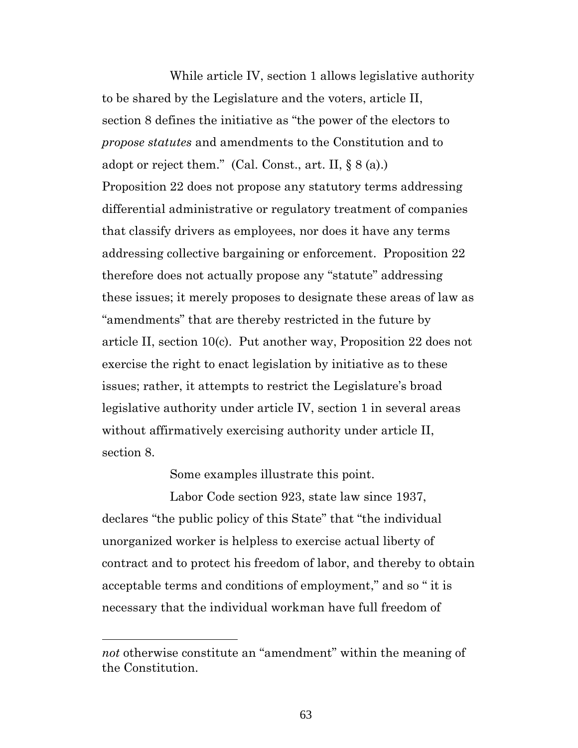While article IV, section 1 allows legislative authority to be shared by the Legislature and the voters, article II, section 8 defines the initiative as "the power of the electors to *propose statutes* and amendments to the Constitution and to adopt or reject them." (Cal. Const., art. II,  $\S 8$  (a).) Proposition 22 does not propose any statutory terms addressing differential administrative or regulatory treatment of companies that classify drivers as employees, nor does it have any terms addressing collective bargaining or enforcement. Proposition 22 therefore does not actually propose any "statute" addressing these issues; it merely proposes to designate these areas of law as "amendments" that are thereby restricted in the future by article II, section 10(c). Put another way, Proposition 22 does not exercise the right to enact legislation by initiative as to these issues; rather, it attempts to restrict the Legislature's broad legislative authority under article IV, section 1 in several areas without affirmatively exercising authority under article II, section 8.

Some examples illustrate this point.

Labor Code section 923, state law since 1937, declares "the public policy of this State" that "the individual unorganized worker is helpless to exercise actual liberty of contract and to protect his freedom of labor, and thereby to obtain acceptable terms and conditions of employment," and so " it is necessary that the individual workman have full freedom of

*not* otherwise constitute an "amendment" within the meaning of the Constitution.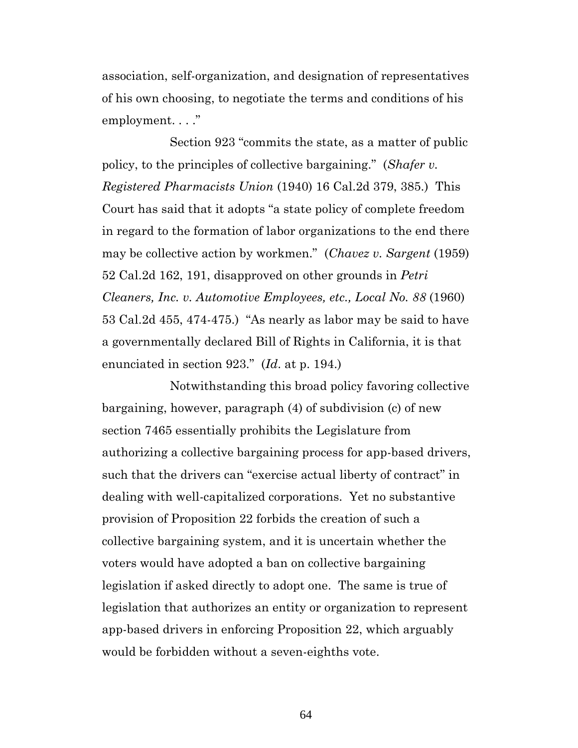association, self-organization, and designation of representatives of his own choosing, to negotiate the terms and conditions of his employment...."

Section 923 "commits the state, as a matter of public policy, to the principles of collective bargaining." (*Shafer v. Registered Pharmacists Union* (1940) 16 Cal.2d 379, 385.) This Court has said that it adopts "a state policy of complete freedom in regard to the formation of labor organizations to the end there may be collective action by workmen." (*Chavez v. Sargent* (1959) 52 Cal.2d 162, 191, disapproved on other grounds in *Petri Cleaners, Inc. v. Automotive Employees, etc., Local No. 88* (1960) 53 Cal.2d 455, 474-475.) "As nearly as labor may be said to have a governmentally declared Bill of Rights in California, it is that enunciated in section 923." (*Id*. at p. 194.)

Notwithstanding this broad policy favoring collective bargaining, however, paragraph (4) of subdivision (c) of new section 7465 essentially prohibits the Legislature from authorizing a collective bargaining process for app-based drivers, such that the drivers can "exercise actual liberty of contract" in dealing with well-capitalized corporations. Yet no substantive provision of Proposition 22 forbids the creation of such a collective bargaining system, and it is uncertain whether the voters would have adopted a ban on collective bargaining legislation if asked directly to adopt one. The same is true of legislation that authorizes an entity or organization to represent app-based drivers in enforcing Proposition 22, which arguably would be forbidden without a seven-eighths vote.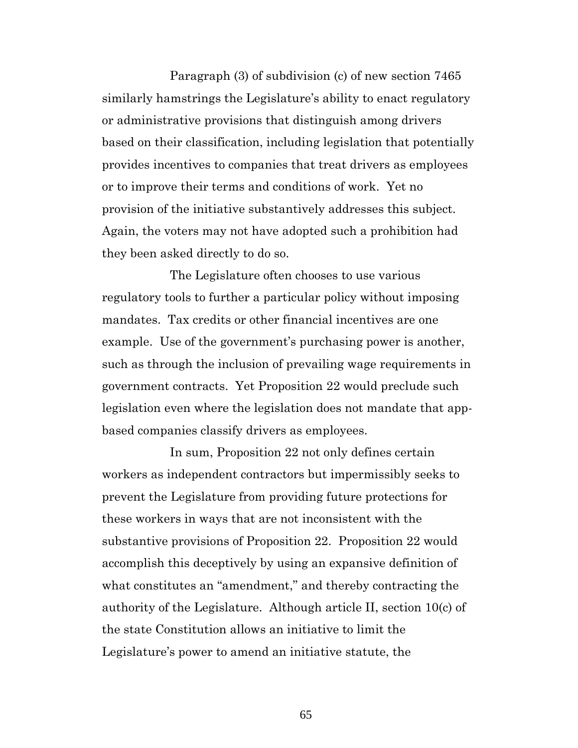Paragraph (3) of subdivision (c) of new section 7465 similarly hamstrings the Legislature's ability to enact regulatory or administrative provisions that distinguish among drivers based on their classification, including legislation that potentially provides incentives to companies that treat drivers as employees or to improve their terms and conditions of work. Yet no provision of the initiative substantively addresses this subject. Again, the voters may not have adopted such a prohibition had they been asked directly to do so.

The Legislature often chooses to use various regulatory tools to further a particular policy without imposing mandates. Tax credits or other financial incentives are one example. Use of the government's purchasing power is another, such as through the inclusion of prevailing wage requirements in government contracts. Yet Proposition 22 would preclude such legislation even where the legislation does not mandate that appbased companies classify drivers as employees.

In sum, Proposition 22 not only defines certain workers as independent contractors but impermissibly seeks to prevent the Legislature from providing future protections for these workers in ways that are not inconsistent with the substantive provisions of Proposition 22. Proposition 22 would accomplish this deceptively by using an expansive definition of what constitutes an "amendment," and thereby contracting the authority of the Legislature. Although article II, section 10(c) of the state Constitution allows an initiative to limit the Legislature's power to amend an initiative statute, the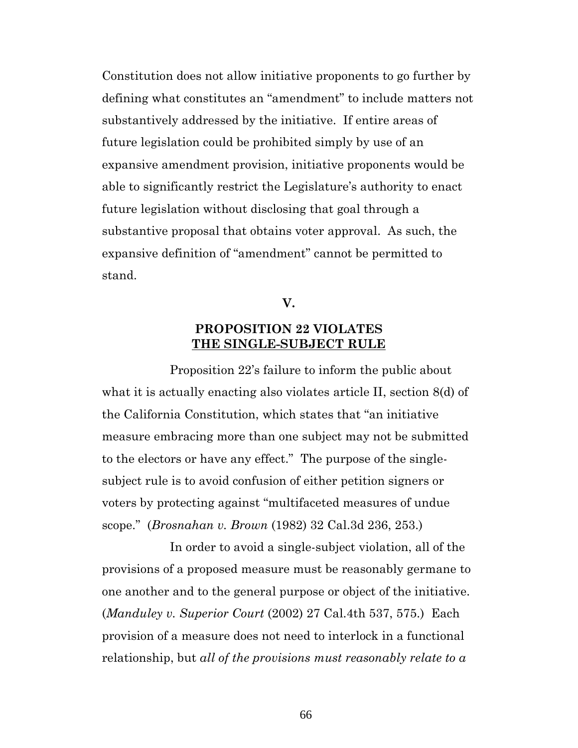Constitution does not allow initiative proponents to go further by defining what constitutes an "amendment" to include matters not substantively addressed by the initiative. If entire areas of future legislation could be prohibited simply by use of an expansive amendment provision, initiative proponents would be able to significantly restrict the Legislature's authority to enact future legislation without disclosing that goal through a substantive proposal that obtains voter approval. As such, the expansive definition of "amendment" cannot be permitted to stand.

**V.**

## **PROPOSITION 22 VIOLATES THE SINGLE-SUBJECT RULE**

Proposition 22's failure to inform the public about what it is actually enacting also violates article II, section 8(d) of the California Constitution, which states that "an initiative measure embracing more than one subject may not be submitted to the electors or have any effect." The purpose of the singlesubject rule is to avoid confusion of either petition signers or voters by protecting against "multifaceted measures of undue scope." (*Brosnahan v. Brown* (1982) 32 Cal.3d 236, 253.)

In order to avoid a single-subject violation, all of the provisions of a proposed measure must be reasonably germane to one another and to the general purpose or object of the initiative. (*Manduley v. Superior Court* (2002) 27 Cal.4th 537, 575.) Each provision of a measure does not need to interlock in a functional relationship, but *all of the provisions must reasonably relate to a*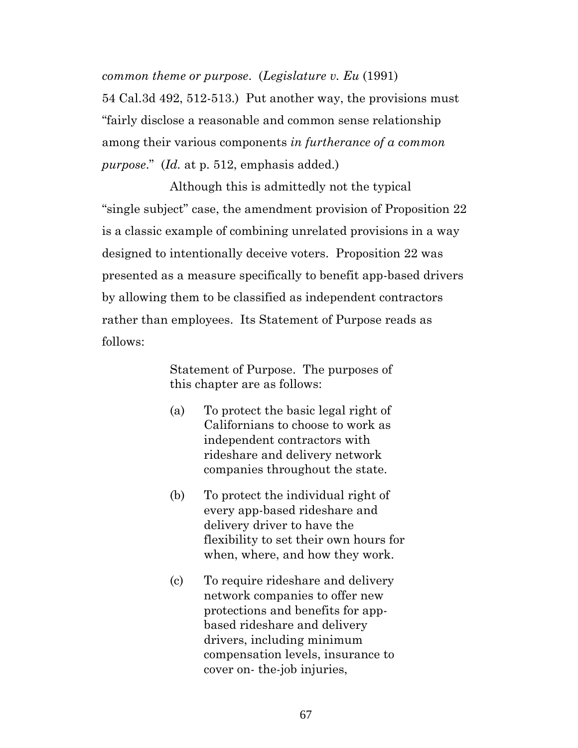*common theme or purpose*. (*Legislature v. Eu* (1991) 54 Cal.3d 492, 512-513.) Put another way, the provisions must "fairly disclose a reasonable and common sense relationship among their various components *in furtherance of a common purpose*." (*Id.* at p. 512, emphasis added.)

Although this is admittedly not the typical "single subject" case, the amendment provision of Proposition 22 is a classic example of combining unrelated provisions in a way designed to intentionally deceive voters. Proposition 22 was presented as a measure specifically to benefit app-based drivers by allowing them to be classified as independent contractors rather than employees. Its Statement of Purpose reads as follows:

> Statement of Purpose. The purposes of this chapter are as follows:

- (a) To protect the basic legal right of Californians to choose to work as independent contractors with rideshare and delivery network companies throughout the state.
- (b) To protect the individual right of every app-based rideshare and delivery driver to have the flexibility to set their own hours for when, where, and how they work.
- (c) To require rideshare and delivery network companies to offer new protections and benefits for appbased rideshare and delivery drivers, including minimum compensation levels, insurance to cover on- the-job injuries,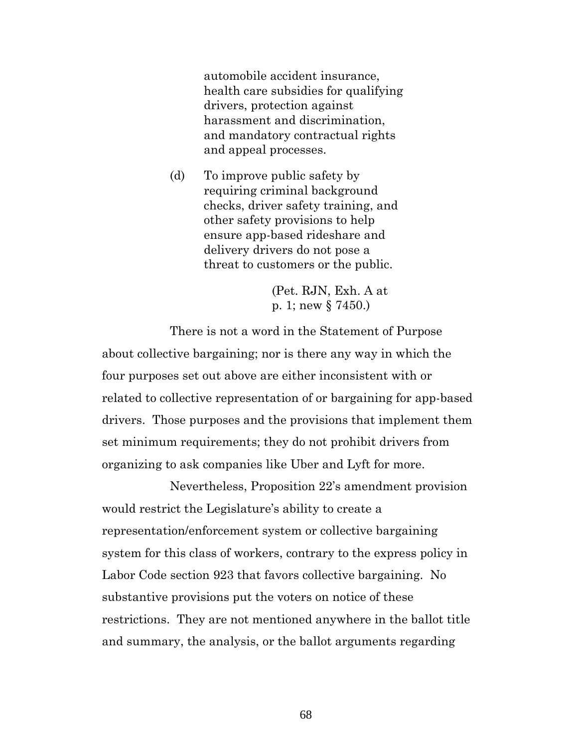automobile accident insurance, health care subsidies for qualifying drivers, protection against harassment and discrimination, and mandatory contractual rights and appeal processes.

(d) To improve public safety by requiring criminal background checks, driver safety training, and other safety provisions to help ensure app-based rideshare and delivery drivers do not pose a threat to customers or the public.

> (Pet. RJN, Exh. A at p. 1; new § 7450.)

There is not a word in the Statement of Purpose about collective bargaining; nor is there any way in which the four purposes set out above are either inconsistent with or related to collective representation of or bargaining for app-based drivers. Those purposes and the provisions that implement them set minimum requirements; they do not prohibit drivers from organizing to ask companies like Uber and Lyft for more.

Nevertheless, Proposition 22's amendment provision would restrict the Legislature's ability to create a representation/enforcement system or collective bargaining system for this class of workers, contrary to the express policy in Labor Code section 923 that favors collective bargaining. No substantive provisions put the voters on notice of these restrictions. They are not mentioned anywhere in the ballot title and summary, the analysis, or the ballot arguments regarding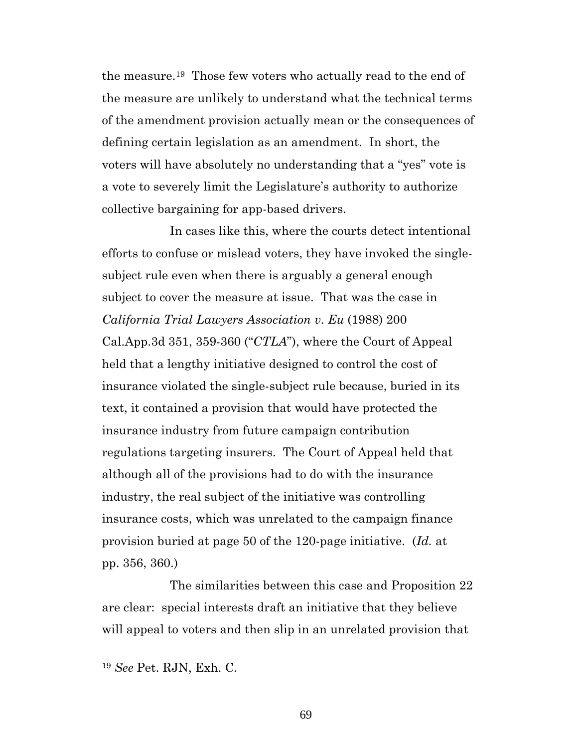the measure.19 Those few voters who actually read to the end of the measure are unlikely to understand what the technical terms of the amendment provision actually mean or the consequences of defining certain legislation as an amendment. In short, the voters will have absolutely no understanding that a "yes" vote is a vote to severely limit the Legislature's authority to authorize collective bargaining for app-based drivers.

In cases like this, where the courts detect intentional efforts to confuse or mislead voters, they have invoked the singlesubject rule even when there is arguably a general enough subject to cover the measure at issue. That was the case in *California Trial Lawyers Association v*. *Eu* (1988) 200 Cal.App.3d 351, 359-360 ("*CTLA*"), where the Court of Appeal held that a lengthy initiative designed to control the cost of insurance violated the single-subject rule because, buried in its text, it contained a provision that would have protected the insurance industry from future campaign contribution regulations targeting insurers. The Court of Appeal held that although all of the provisions had to do with the insurance industry, the real subject of the initiative was controlling insurance costs, which was unrelated to the campaign finance provision buried at page 50 of the 120-page initiative. (*Id.* at pp. 356, 360.)

The similarities between this case and Proposition 22 are clear: special interests draft an initiative that they believe will appeal to voters and then slip in an unrelated provision that

<sup>19</sup> *See* Pet. RJN, Exh. C.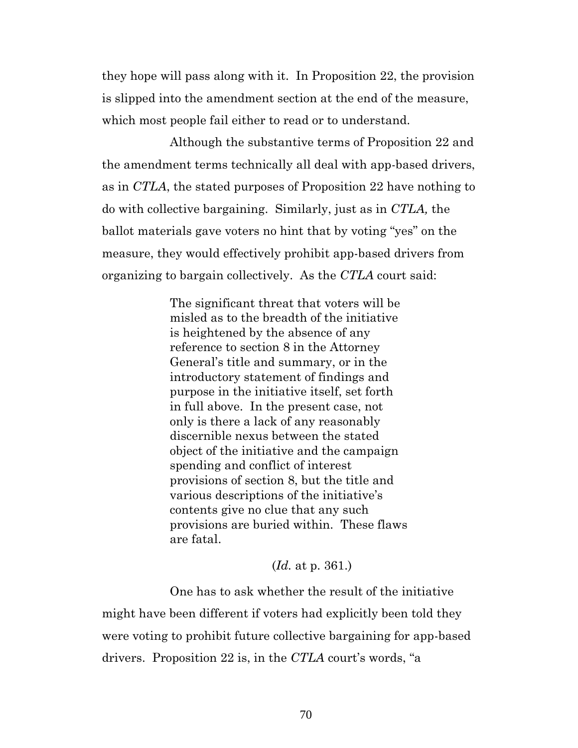they hope will pass along with it. In Proposition 22, the provision is slipped into the amendment section at the end of the measure, which most people fail either to read or to understand.

Although the substantive terms of Proposition 22 and the amendment terms technically all deal with app-based drivers, as in *CTLA*, the stated purposes of Proposition 22 have nothing to do with collective bargaining. Similarly, just as in *CTLA,* the ballot materials gave voters no hint that by voting "yes" on the measure, they would effectively prohibit app-based drivers from organizing to bargain collectively. As the *CTLA* court said:

> The significant threat that voters will be misled as to the breadth of the initiative is heightened by the absence of any reference to section 8 in the Attorney General's title and summary, or in the introductory statement of findings and purpose in the initiative itself, set forth in full above. In the present case, not only is there a lack of any reasonably discernible nexus between the stated object of the initiative and the campaign spending and conflict of interest provisions of section 8, but the title and various descriptions of the initiative's contents give no clue that any such provisions are buried within. These flaws are fatal.

> > (*Id.* at p. 361.)

One has to ask whether the result of the initiative might have been different if voters had explicitly been told they were voting to prohibit future collective bargaining for app-based drivers. Proposition 22 is, in the *CTLA* court's words, "a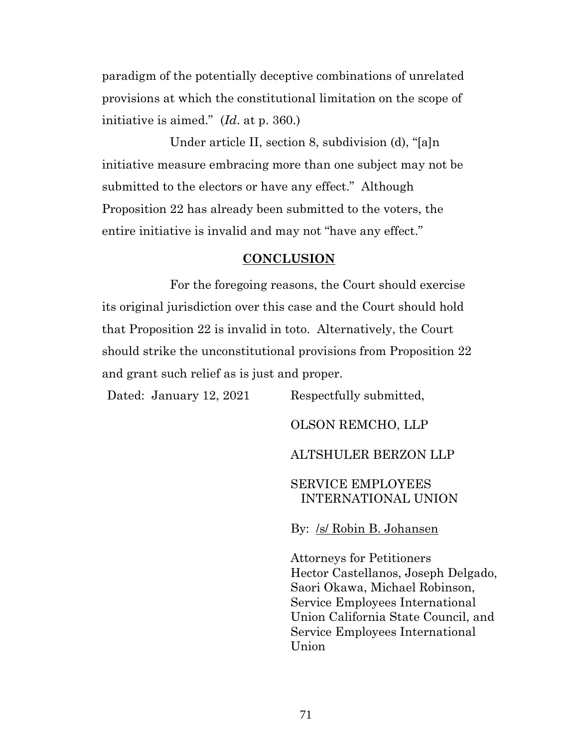paradigm of the potentially deceptive combinations of unrelated provisions at which the constitutional limitation on the scope of initiative is aimed." (*Id*. at p. 360.)

Under article II, section 8, subdivision (d), "[a]n initiative measure embracing more than one subject may not be submitted to the electors or have any effect." Although Proposition 22 has already been submitted to the voters, the entire initiative is invalid and may not "have any effect."

#### **CONCLUSION**

For the foregoing reasons, the Court should exercise its original jurisdiction over this case and the Court should hold that Proposition 22 is invalid in toto. Alternatively, the Court should strike the unconstitutional provisions from Proposition 22 and grant such relief as is just and proper.

Dated: January 12, 2021 Respectfully submitted, OLSON REMCHO, LLP ALTSHULER BERZON LLP SERVICE EMPLOYEES INTERNATIONAL UNION By: /s/ Robin B. Johansen Attorneys for Petitioners

Hector Castellanos, Joseph Delgado, Saori Okawa, Michael Robinson, Service Employees International Union California State Council, and Service Employees International Union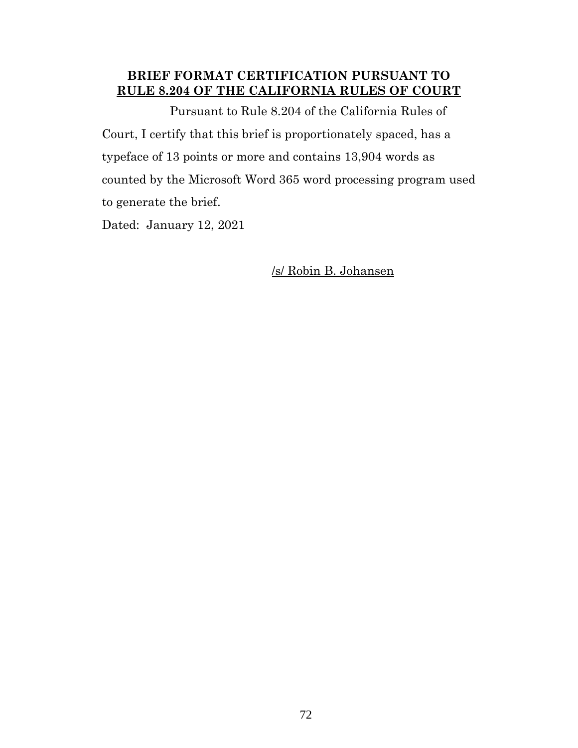# **BRIEF FORMAT CERTIFICATION PURSUANT TO RULE 8.204 OF THE CALIFORNIA RULES OF COURT**

Pursuant to Rule 8.204 of the California Rules of Court, I certify that this brief is proportionately spaced, has a typeface of 13 points or more and contains 13,904 words as counted by the Microsoft Word 365 word processing program used to generate the brief.

Dated: January 12, 2021

/s/ Robin B. Johansen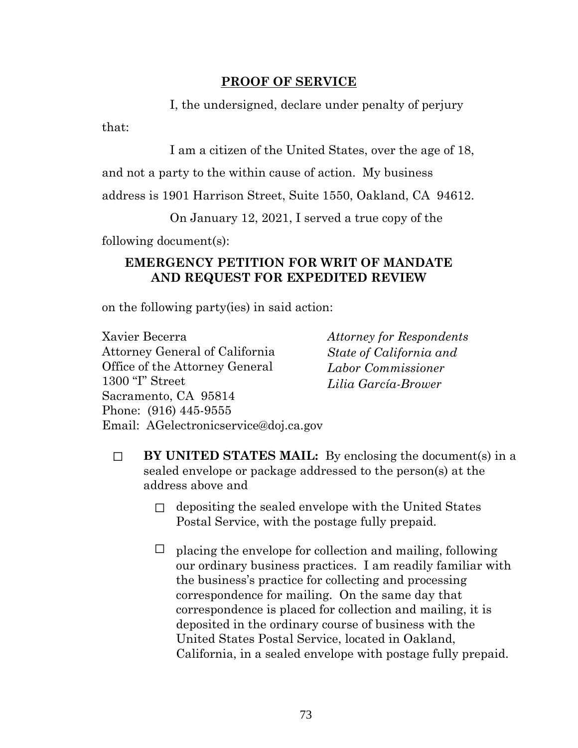## **PROOF OF SERVICE**

I, the undersigned, declare under penalty of perjury

that:

I am a citizen of the United States, over the age of 18,

and not a party to the within cause of action. My business

address is 1901 Harrison Street, Suite 1550, Oakland, CA 94612.

On January 12, 2021, I served a true copy of the

following document(s):

## **EMERGENCY PETITION FOR WRIT OF MANDATE AND REQUEST FOR EXPEDITED REVIEW**

on the following party(ies) in said action:

Xavier Becerra Attorney General of California Office of the Attorney General 1300 "I" Street Sacramento, CA 95814 Phone: (916) 445-9555 Email: AGelectronicservice@doj.ca.gov

*Attorney for Respondents State of California and Labor Commissioner Lilia García-Brower*

- ☐ **BY UNITED STATES MAIL:** By enclosing the document(s) in a sealed envelope or package addressed to the person(s) at the address above and
	- $\Box$  depositing the sealed envelope with the United States Postal Service, with the postage fully prepaid.
	- $\Box$  placing the envelope for collection and mailing, following our ordinary business practices. I am readily familiar with the business's practice for collecting and processing correspondence for mailing. On the same day that correspondence is placed for collection and mailing, it is deposited in the ordinary course of business with the United States Postal Service, located in Oakland, California, in a sealed envelope with postage fully prepaid.